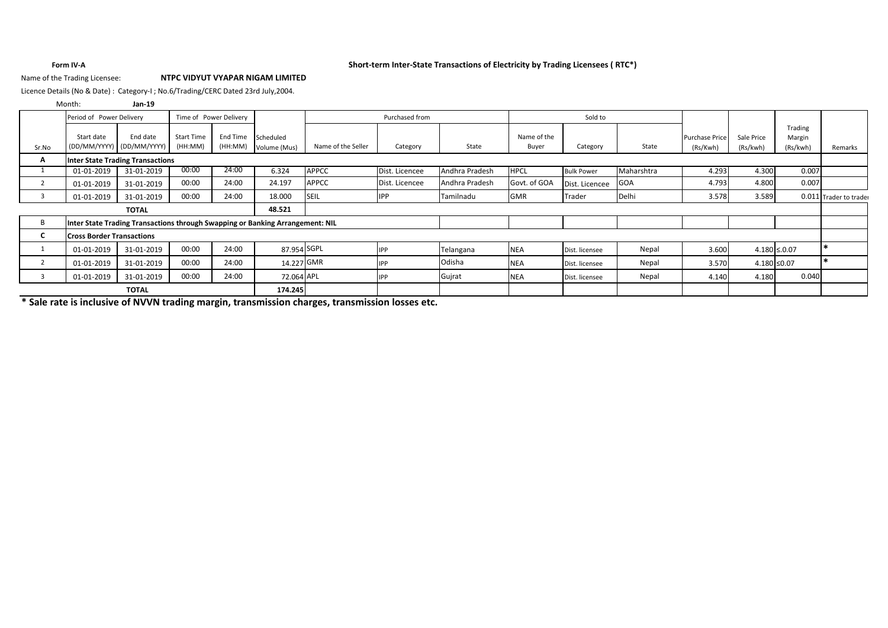### **Form IV-A Short-term Inter-State Transactions of Electricity by Trading Licensees ( RTC\*)**

### Name of the Trading Licensee: **NTPC VIDYUT VYAPAR NIGAM LIMITED**

Licence Details (No & Date) : Category-I ; No.6/Trading/CERC Dated 23rd July,2004.

### **Jan-19** Month:

|            | Period of Power Delivery<br>Time of Power Delivery |                                         |                              | Purchased from      |                                                                               | Sold to            |                |                |                      |                   |            |                       |            |                   |                        |
|------------|----------------------------------------------------|-----------------------------------------|------------------------------|---------------------|-------------------------------------------------------------------------------|--------------------|----------------|----------------|----------------------|-------------------|------------|-----------------------|------------|-------------------|------------------------|
| Sr.No      | Start date                                         | End date<br>(DD/MM/YYYY) (DD/MM/YYYY)   | <b>Start Time</b><br>(HH:MM) | End Time<br>(HH:MM) | Scheduled                                                                     | Name of the Seller | Category       | State          | Name of the<br>Buyer | Category          | State      | <b>Purchase Price</b> | Sale Price | Trading<br>Margin |                        |
|            |                                                    | <b>Inter State Trading Transactions</b> |                              |                     | Volume (Mus)                                                                  |                    |                |                |                      |                   |            | (Rs/Kwh)              | (Rs/kwh)   | (Rs/kwh)          | Remarks                |
| A          |                                                    |                                         |                              |                     |                                                                               |                    |                |                |                      |                   |            |                       |            |                   |                        |
|            | 01-01-2019                                         | 31-01-2019                              | 00:00                        | 24:00               | 6.324                                                                         | <b>APPCC</b>       | Dist. Licencee | Andhra Pradesh | <b>HPCL</b>          | <b>Bulk Power</b> | Maharshtra | 4.293                 | 4.300      | 0.007             |                        |
|            | 01-01-2019                                         | 31-01-2019                              | 00:00                        | 24:00               | 24.197                                                                        | <b>APPCC</b>       | Dist. Licencee | Andhra Pradesh | Govt. of GOA         | Dist. Licencee    | GOA        | 4.793                 | 4.800      | 0.007             |                        |
|            | 01-01-2019                                         | 31-01-2019                              | 00:00                        | 24:00               | 18.000                                                                        | <b>SEIL</b>        | <b>IPP</b>     | Tamilnadu      | <b>GMR</b>           | Trader            | Delhi      | 3.578                 | 3.589      |                   | 0.011 Trader to trader |
|            |                                                    | <b>TOTAL</b>                            |                              |                     | 48.521                                                                        |                    |                |                |                      |                   |            |                       |            |                   |                        |
| В          |                                                    |                                         |                              |                     | Inter State Trading Transactions through Swapping or Banking Arrangement: NIL |                    |                |                |                      |                   |            |                       |            |                   |                        |
| U          | <b>Cross Border Transactions</b>                   |                                         |                              |                     |                                                                               |                    |                |                |                      |                   |            |                       |            |                   |                        |
|            | 01-01-2019                                         | 31-01-2019                              | 00:00                        | 24:00               | 87.954 SGPL                                                                   |                    | IPP            | Telangana      | <b>NEA</b>           | Dist. licensee    | Nepal      | 3.600                 |            | $4.180 \le 0.07$  |                        |
| $\epsilon$ | 01-01-2019                                         | 31-01-2019                              | 00:00                        | 24:00               | 14.227 GMR                                                                    |                    | <b>PP</b>      | Odisha         | <b>NEA</b>           | Dist. licensee    | Nepal      | 3.570                 |            | $4.180 \le 0.07$  |                        |
|            | 01-01-2019                                         | 31-01-2019                              | 00:00                        | 24:00               | 72.064 APL                                                                    |                    | IPP            | Gujrat         | <b>NEA</b>           | Dist. licensee    | Nepal      | 4.140                 | 4.180      | 0.040             |                        |
|            | <b>TOTAL</b>                                       |                                         |                              | 174.245             |                                                                               |                    |                |                |                      |                   |            |                       |            |                   |                        |

**\* Sale rate is inclusive of NVVN trading margin, transmission charges, transmission losses etc.**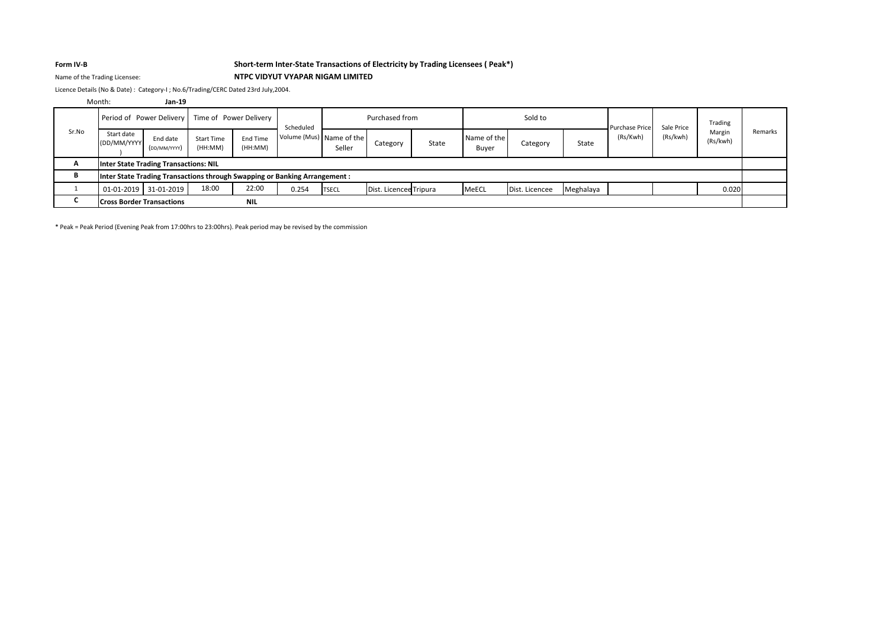## **Form IV-B Short-term Inter-State Transactions of Electricity by Trading Licensees ( Peak\*)**

### Name of the Trading Licensee: **NTPC VIDYUT VYAPAR NIGAM LIMITED**

Licence Details (No & Date) : Category-I ; No.6/Trading/CERC Dated 23rd July,2004.

### **Jan-19** Month:

|       | Period of Power Delivery                     |                          | Time of Power Delivery       |                     | Scheduled                                                                  | Purchased from |                        |       |                      | Sold to        |           | <b>Purchase Price</b> | Sale Price | Trading            |         |
|-------|----------------------------------------------|--------------------------|------------------------------|---------------------|----------------------------------------------------------------------------|----------------|------------------------|-------|----------------------|----------------|-----------|-----------------------|------------|--------------------|---------|
| Sr.No | Start date<br>(DD/MM/YYYY                    | End date<br>(DD/MM/YYYY) | <b>Start Time</b><br>(HH:MM) | End Time<br>(HH:MM) | Volume (Mus) Name of the                                                   | Seller         | Category               | State | Name of the<br>Buyer | Category       | State     | (Rs/Kwh)              | (Rs/kwh)   | Margin<br>(Rs/kwh) | Remarks |
| A     | <b>Inter State Trading Transactions: NIL</b> |                          |                              |                     |                                                                            |                |                        |       |                      |                |           |                       |            |                    |         |
|       |                                              |                          |                              |                     | Inter State Trading Transactions through Swapping or Banking Arrangement : |                |                        |       |                      |                |           |                       |            |                    |         |
|       | 01-01-2019 31-01-2019                        |                          | 18:00                        | 22:00               | 0.254                                                                      | <b>TSECL</b>   | Dist. Licencee Tripura |       | <b>MeECL</b>         | Dist. Licencee | Meghalaya |                       |            | 0.020              |         |
|       | <b>Cross Border Transactions</b>             |                          |                              | <b>NIL</b>          |                                                                            |                |                        |       |                      |                |           |                       |            |                    |         |

\* Peak = Peak Period (Evening Peak from 17:00hrs to 23:00hrs). Peak period may be revised by the commission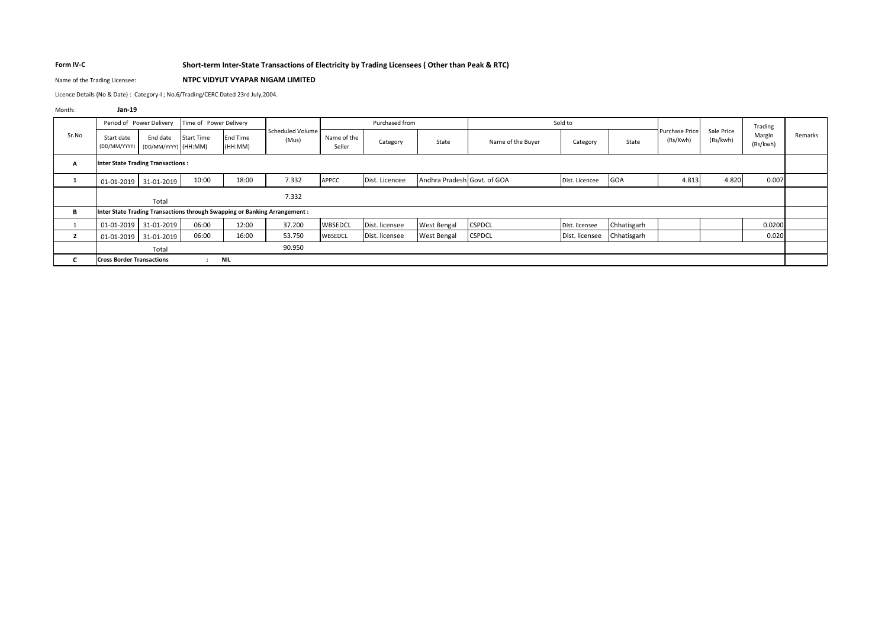### **Form IV-C Short-term Inter-State Transactions of Electricity by Trading Licensees ( Other than Peak & RTC)**

### Name of the Trading Licensee: **NTPC VIDYUT VYAPAR NIGAM LIMITED**

Licence Details (No & Date) : Category-I ; No.6/Trading/CERC Dated 23rd July,2004.

Month: **Jan-19**

|                |                                  | Period of Power Delivery                 | Time of Power Delivery |                            |                                                                           |                       | Purchased from |                             |                   | Sold to        |             |                            |                        | Trading            |         |
|----------------|----------------------------------|------------------------------------------|------------------------|----------------------------|---------------------------------------------------------------------------|-----------------------|----------------|-----------------------------|-------------------|----------------|-------------|----------------------------|------------------------|--------------------|---------|
| Sr.No          | Start date<br>(DD/MM/YYYY)       | End date<br>(DD/MM/YYYY) (HH:MM)         | <b>Start Time</b>      | <b>End Time</b><br>(HH:MM) | Scheduled Volume<br>(Mus)                                                 | Name of the<br>Seller | Category       | State                       | Name of the Buyer | Category       | State       | Purchase Price<br>(Rs/Kwh) | Sale Price<br>(Rs/kwh) | Margin<br>(Rs/kwh) | Remarks |
| A              |                                  | <b>Inter State Trading Transactions:</b> |                        |                            |                                                                           |                       |                |                             |                   |                |             |                            |                        |                    |         |
|                | 01-01-2019                       | 31-01-2019                               | 10:00                  | 18:00                      | 7.332                                                                     | <b>APPCC</b>          | Dist. Licencee | Andhra Pradesh Govt. of GOA |                   | Dist. Licencee | <b>GOA</b>  | 4.813                      | 4.820                  | 0.007              |         |
|                |                                  | Total                                    |                        |                            | 7.332                                                                     |                       |                |                             |                   |                |             |                            |                        |                    |         |
| В              |                                  |                                          |                        |                            | Inter State Trading Transactions through Swapping or Banking Arrangement: |                       |                |                             |                   |                |             |                            |                        |                    |         |
|                | 01-01-2019                       | 31-01-2019                               | 06:00                  | 12:00                      | 37.200                                                                    | WBSEDCL               | Dist. licensee | West Bengal                 | <b>CSPDCL</b>     | Dist. licensee | Chhatisgarh |                            |                        | 0.0200             |         |
| $\overline{2}$ | 01-01-2019                       | 31-01-2019                               | 06:00                  | 16:00                      | 53.750                                                                    | <b>WBSEDCL</b>        | Dist. licensee | <b>West Bengal</b>          | <b>CSPDCL</b>     | Dist. licensee | Chhatisgarh |                            |                        | 0.020              |         |
|                |                                  | Total                                    |                        |                            | 90.950                                                                    |                       |                |                             |                   |                |             |                            |                        |                    |         |
| C              | <b>Cross Border Transactions</b> |                                          | $\mathbf{r}$           | <b>NIL</b>                 |                                                                           |                       |                |                             |                   |                |             |                            |                        |                    |         |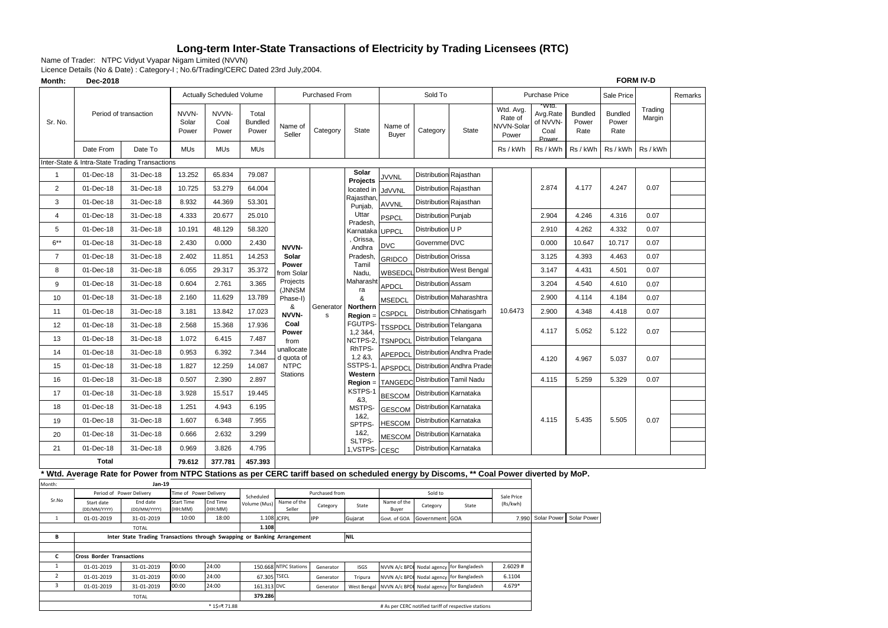## **Long-term Inter-State Transactions of Electricity by Trading Licensees (RTC)**

Name of Trader: NTPC Vidyut Vyapar Nigam Limited (NVVN)

Licence Details (No & Date) : Category-I ; No.6/Trading/CERC Dated 23rd July,2004.

| Month:           | Dec-2018                                       |                                                                                                                                        |                                      |                           |                                  |                           |                          |                        |                         |                            |                                                      |                                             |                                               |                                 |                                 | <b>FORM IV-D</b>  |         |
|------------------|------------------------------------------------|----------------------------------------------------------------------------------------------------------------------------------------|--------------------------------------|---------------------------|----------------------------------|---------------------------|--------------------------|------------------------|-------------------------|----------------------------|------------------------------------------------------|---------------------------------------------|-----------------------------------------------|---------------------------------|---------------------------------|-------------------|---------|
|                  |                                                |                                                                                                                                        |                                      | Actually Scheduled Volume |                                  |                           | Purchased From           |                        |                         | Sold To                    |                                                      |                                             | Purchase Price                                |                                 | Sale Price                      |                   | Remarks |
| Sr. No.          |                                                | Period of transaction                                                                                                                  | NVVN-<br>Solar<br>Power              | NVVN-<br>Coal<br>Power    | Total<br><b>Bundled</b><br>Power | Name of<br>Seller         | Category                 | <b>State</b>           | Name of<br><b>Buyer</b> | Category                   | State                                                | Wtd. Avg.<br>Rate of<br>NVVN-Solar<br>Power | Wtd.<br>Avg.Rate<br>of NVVN-<br>Coal<br>Power | <b>Bundled</b><br>Power<br>Rate | <b>Bundled</b><br>Power<br>Rate | Trading<br>Margin |         |
|                  | Date From                                      | Date To                                                                                                                                | MUs                                  | <b>MUs</b>                | <b>MUs</b>                       |                           |                          |                        |                         |                            |                                                      | Rs / kWh                                    | Rs / kWh                                      | Rs / kWh                        | Rs / kWh                        | Rs / kWh          |         |
|                  |                                                | Inter-State & Intra-State Trading Transactions                                                                                         |                                      |                           |                                  |                           |                          |                        |                         |                            |                                                      |                                             |                                               |                                 |                                 |                   |         |
| $\mathbf{1}$     | 01-Dec-18                                      | 31-Dec-18                                                                                                                              | 13.252                               | 65.834                    | 79.087                           |                           |                          | Solar                  | <b>JVVNL</b>            |                            | <b>Distribution Rajasthan</b>                        |                                             |                                               |                                 |                                 |                   |         |
| $\overline{2}$   | 01-Dec-18                                      | 31-Dec-18                                                                                                                              | 10.725                               | 53.279                    | 64.004                           |                           |                          | Projects<br>located in | JdVVNL                  |                            | Distribution Rajasthan                               |                                             | 2.874                                         | 4.177                           | 4.247                           | 0.07              |         |
| 3                | 01-Dec-18                                      | 31-Dec-18                                                                                                                              | 8.932                                | 44.369                    | 53.301                           |                           |                          | Rajasthan<br>Punjab,   | AVVNL                   |                            | Distribution Rajasthan                               |                                             |                                               |                                 |                                 |                   |         |
| $\overline{4}$   | 01-Dec-18                                      | 31-Dec-18                                                                                                                              | 4.333                                | 20.677                    | 25.010                           |                           |                          | Uttar                  | PSPCL                   | Distribution               | Punjab                                               |                                             | 2.904                                         | 4.246                           | 4.316                           | 0.07              |         |
| 5                | 01-Dec-18                                      | 31-Dec-18                                                                                                                              | 10.191                               | 48.129                    | 58.320                           |                           |                          | Pradesh,<br>Karnataka  | <b>UPPCL</b>            | Distribution U P           |                                                      |                                             | 2.910                                         | 4.262                           | 4.332                           | 0.07              |         |
| $6***$           | 01-Dec-18                                      | 31-Dec-18                                                                                                                              | 2.430                                | 0.000                     | 2.430                            | NVVN-                     |                          | , Orissa,<br>Andhra    | <b>DVC</b>              | Governmer DVC              |                                                      |                                             | 0.000                                         | 10.647                          | 10.717                          | 0.07              |         |
| $\overline{7}$   | 01-Dec-18                                      | 31-Dec-18                                                                                                                              | 2.402                                | 11.851                    | 14.253                           | Solar                     |                          | Pradesh,               | GRIDCO                  | Distribution               | Orissa                                               |                                             | 3.125                                         | 4.393                           | 4.463                           | 0.07              |         |
| 8                | 01-Dec-18                                      | 31-Dec-18                                                                                                                              | 6.055                                | 29.317                    | 35.372                           | Power<br>rom Solar        |                          | Tamil<br>Nadu,         | WBSEDCI                 | Distribution               | West Bengal                                          |                                             | 3.147                                         | 4.431                           | 4.501                           | 0.07              |         |
| 9                | 01-Dec-18                                      | 31-Dec-18                                                                                                                              | 0.604                                | 2.761                     | 3.365                            | Projects                  |                          | Maharasht              | APDCL                   | Distribution               | Assam                                                |                                             | 3.204                                         | 4.540                           | 4.610                           | 0.07              |         |
| 10               | 01-Dec-18                                      | 31-Dec-18                                                                                                                              | 2.160                                | 11.629                    | 13.789                           | (JNNSM<br>Phase-I)        |                          | ra<br>&                | <b>MSEDCL</b>           |                            | Distribution Maharashtra                             |                                             | 2.900                                         | 4.114                           | 4.184                           | 0.07              |         |
| 11               | 01-Dec-18                                      | 31-Dec-18                                                                                                                              | 3.181                                | 13.842                    | 17.023                           | &<br>NVVN-                | Generator<br>$\mathbf s$ | Northern<br>$Region =$ | <b>CSPDCL</b>           |                            | Distribution Chhatisgarh                             | 10.6473                                     | 2.900                                         | 4.348                           | 4.418                           | 0.07              |         |
| 12               | 01-Dec-18                                      | 31-Dec-18                                                                                                                              | 2.568                                | 15.368                    | 17.936                           | Coal                      |                          | FGUTPS-                | <b>TSSPDCL</b>          |                            | <b>Distribution Telangana</b>                        |                                             |                                               |                                 |                                 |                   |         |
| 13               | 01-Dec-18                                      | 31-Dec-18                                                                                                                              | 1.072                                | 6.415                     | 7.487                            | Power<br>from             |                          | 1,2 3 & 4,<br>NCTPS-2, | <b>TSNPDCL</b>          |                            | <b>Distribution Telangana</b>                        |                                             | 4.117                                         | 5.052                           | 5.122                           | 0.07              |         |
| 14               | 01-Dec-18                                      | 31-Dec-18                                                                                                                              | 0.953                                | 6.392                     | 7.344                            | unallocate                |                          | RhTPS-                 | APEPDCL                 |                            | <b>Distribution Andhra Prade</b>                     |                                             |                                               |                                 |                                 |                   |         |
| 15               | 01-Dec-18                                      | 31-Dec-18                                                                                                                              | 1.827                                | 12.259                    | 14.087                           | d quota of<br><b>NTPC</b> |                          | 1,283,<br>SSTPS-1      | APSPDCL                 |                            | <b>Distribution Andhra Prade</b>                     |                                             | 4.120                                         | 4.967                           | 5.037                           | 0.07              |         |
| 16               | 01-Dec-18                                      | 31-Dec-18                                                                                                                              | 0.507                                | 2.390                     | 2.897                            | <b>Stations</b>           |                          | Western<br>Region =    | TANGEDC                 |                            | <b>Distribution Tamil Nadu</b>                       |                                             | 4.115                                         | 5.259                           | 5.329                           | 0.07              |         |
| 17               | 01-Dec-18                                      | 31-Dec-18                                                                                                                              | 3.928                                | 15.517                    | 19.445                           |                           |                          | KSTPS-1                | <b>BESCOM</b>           | Distribution               | Karnataka                                            |                                             |                                               |                                 |                                 |                   |         |
| 18               | 01-Dec-18                                      | 31-Dec-18                                                                                                                              | 1.251                                | 4.943                     | 6.195                            |                           |                          | &3,<br>MSTPS-          | <b>GESCOM</b>           | <b>Distribution</b>        | Karnataka                                            |                                             |                                               |                                 |                                 |                   |         |
| 19               | 01-Dec-18                                      | 31-Dec-18                                                                                                                              | 1.607                                | 6.348                     | 7.955                            |                           |                          | 1&2,<br>SPTPS-         | <b>HESCOM</b>           | Distribution               | Karnataka                                            |                                             | 4.115                                         | 5.435                           | 5.505                           | 0.07              |         |
| 20               | 01-Dec-18                                      | 31-Dec-18                                                                                                                              | 0.666                                | 2.632                     | 3.299                            |                           |                          | 1&2,                   | <b>MESCOM</b>           | Distribution               | Karnataka                                            |                                             |                                               |                                 |                                 |                   |         |
| 21               | 01-Dec-18                                      | 31-Dec-18                                                                                                                              | 0.969                                | 3.826                     | 4.795                            |                           |                          | SLTPS-<br>1, VSTPS-    | CESC                    |                            | Distribution Karnataka                               |                                             |                                               |                                 |                                 |                   |         |
|                  | <b>Total</b>                                   |                                                                                                                                        | 79.612                               | 377.781                   | 457.393                          |                           |                          |                        |                         |                            |                                                      |                                             |                                               |                                 |                                 |                   |         |
|                  |                                                | Wtd. Average Rate for Power from NTPC Stations as per CERC tariff based on scheduled energy by Discoms, ** Coal Power diverted by MoP. |                                      |                           |                                  |                           |                          |                        |                         |                            |                                                      |                                             |                                               |                                 |                                 |                   |         |
| Month:           |                                                | <b>Jan-19</b>                                                                                                                          |                                      |                           |                                  |                           |                          |                        |                         |                            |                                                      |                                             |                                               |                                 |                                 |                   |         |
| Sr.No            | Start date                                     | Period of Power Delivery<br>End date                                                                                                   | Time of Power Delivery<br>Start Time | End Time                  | Scheduled<br>Volume (Mus)        | Name of the               | Purchased from           |                        | Name of the             | Sold to                    |                                                      | Sale Price<br>(Rs/kwh)                      |                                               |                                 |                                 |                   |         |
|                  | (DD/MM/YYYY)                                   | (DD/MM/YYYY)                                                                                                                           | HH:MM)<br>10:00                      | HH:MM)<br>18:00           |                                  | Seller<br>1.108 JCFPL     | Category                 | State                  | Buyer                   | Category                   | State                                                |                                             | 7.990 Solar Power                             | Solar Power                     |                                 |                   |         |
| $1\,$            | 01-01-2019                                     | 31-01-2019<br><b>TOTAL</b>                                                                                                             |                                      |                           | 1.10                             |                           | <b>IPP</b>               | Gujarat                | Govt. of GOA            | Government GOA             |                                                      |                                             |                                               |                                 |                                 |                   |         |
| В                |                                                | Inter State Trading Transactions through Swapping or Banking Arrangement                                                               |                                      |                           |                                  |                           |                          | <b>NIL</b>             |                         |                            |                                                      |                                             |                                               |                                 |                                 |                   |         |
|                  |                                                |                                                                                                                                        |                                      |                           |                                  |                           |                          |                        |                         |                            |                                                      |                                             |                                               |                                 |                                 |                   |         |
| c<br>$\mathbf 1$ | <b>Cross Border Transactions</b><br>01-01-2019 | 31-01-2019                                                                                                                             | 00:00                                | 24:00                     |                                  | 150.668 NTPC Stations     | Generator                | <b>ISGS</b>            | NVVN A/c BPD            | Nodal agency               | for Bangladesh                                       | 2.6029#                                     |                                               |                                 |                                 |                   |         |
| $\overline{2}$   | 01-01-2019                                     | 31-01-2019                                                                                                                             | 00:00                                | 24:00                     | 67.305                           | <b>TSECL</b>              | Generator                | Tripura                | NVVN A/c BPD            | Nodal agency               | for Bangladesh                                       | 6.1104                                      |                                               |                                 |                                 |                   |         |
| 3                | 01-01-2019                                     | 31-01-2019                                                                                                                             | 00:00                                | 24:00                     | 161.313 DVC                      |                           | Generator                | West Bengal            |                         | NVVN A/c BPDI Nodal agency | for Bangladesh                                       | 4.679*                                      |                                               |                                 |                                 |                   |         |
|                  |                                                | <b>TOTAL</b>                                                                                                                           |                                      |                           | 379.286                          |                           |                          |                        |                         |                            |                                                      |                                             |                                               |                                 |                                 |                   |         |
|                  |                                                |                                                                                                                                        |                                      | * 1\$=₹ 71.88             |                                  |                           |                          |                        |                         |                            | # As per CERC notified tariff of respective stations |                                             |                                               |                                 |                                 |                   |         |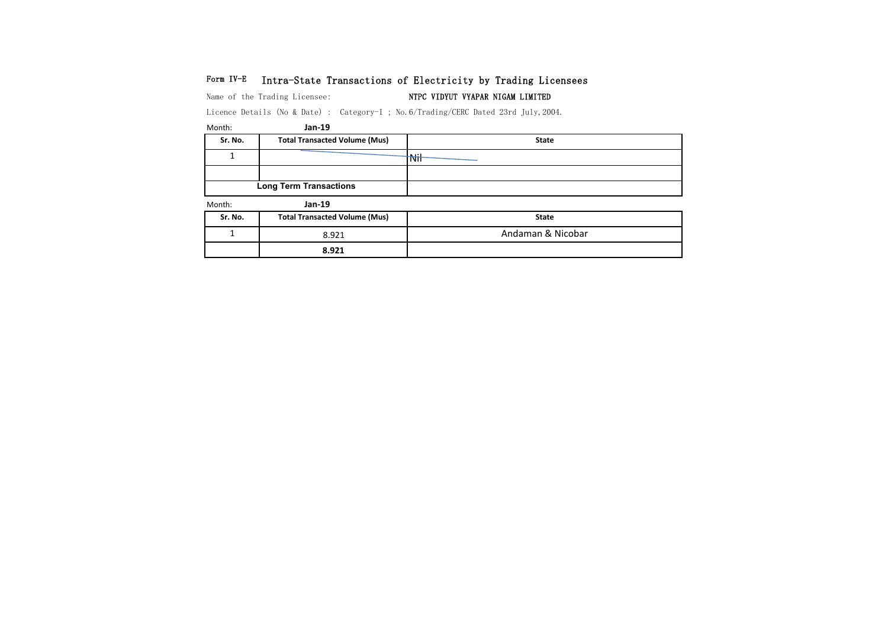## Form IV-E Intra-State Transactions of Electricity by Trading Licensees

Name of the Trading Licensee: NTPC VIDYUT VYAPAR NIGAM LIMITED

Licence Details (No & Date) : Category-I ; No.6/Trading/CERC Dated 23rd July,2004.

**8.921**

| Month:  | Jan-19                               |                   |
|---------|--------------------------------------|-------------------|
| Sr. No. | <b>Total Transacted Volume (Mus)</b> | <b>State</b>      |
|         |                                      | <b>Nil</b>        |
|         |                                      |                   |
|         | <b>Long Term Transactions</b>        |                   |
| Month:  | Jan-19                               |                   |
| Sr. No. | <b>Total Transacted Volume (Mus)</b> | <b>State</b>      |
|         | 8.921                                | Andaman & Nicobar |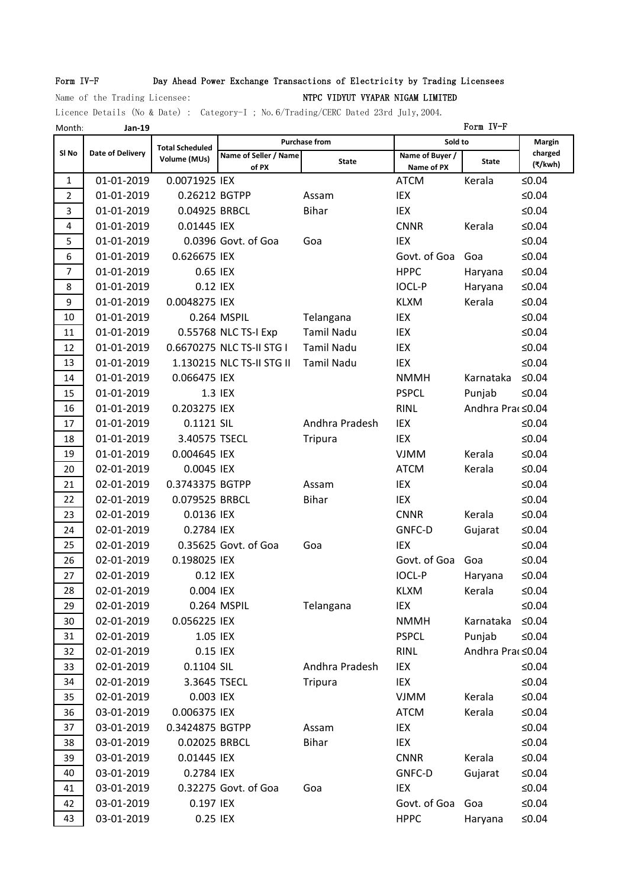## Form IV-F Day Ahead Power Exchange Transactions of Electricity by Trading Licensees

# Name of the Trading Licensee: Name of the Trading Licensee: NTPC VIDYUT VYAPAR NIGAM LIMITED

Licence Details (No & Date) : Category-I ; No.6/Trading/CERC Dated 23rd July,2004.

| Month:           | Jan-19                  |                        |                           |                      |                           | Form IV-F        |                    |
|------------------|-------------------------|------------------------|---------------------------|----------------------|---------------------------|------------------|--------------------|
|                  |                         | <b>Total Scheduled</b> |                           | <b>Purchase from</b> | Sold to                   |                  | <b>Margin</b>      |
| SI <sub>No</sub> | <b>Date of Delivery</b> | Volume (MUs)           | Name of Seller / Name     | <b>State</b>         | Name of Buyer /           | <b>State</b>     | charged<br>(₹/kwh) |
| 1                | 01-01-2019              | 0.0071925 IEX          | of PX                     |                      | Name of PX<br><b>ATCM</b> | Kerala           | ≤ $0.04$           |
| $\overline{2}$   | 01-01-2019              | 0.26212 BGTPP          |                           | Assam                | IEX                       |                  | $≤0.04$            |
| 3                | 01-01-2019              | 0.04925 BRBCL          |                           | <b>Bihar</b>         | IEX                       |                  | $≤0.04$            |
| 4                | 01-01-2019              | 0.01445 IEX            |                           |                      | <b>CNNR</b>               | Kerala           | $≤0.04$            |
| 5                | 01-01-2019              |                        | 0.0396 Govt. of Goa       | Goa                  | <b>IEX</b>                |                  | $≤0.04$            |
| 6                | 01-01-2019              | 0.626675 IEX           |                           |                      | Govt. of Goa              | Goa              | $≤0.04$            |
| $\overline{7}$   | 01-01-2019              | 0.65 IEX               |                           |                      | <b>HPPC</b>               | Haryana          | $≤0.04$            |
| 8                | 01-01-2019              | 0.12 IEX               |                           |                      | <b>IOCL-P</b>             | Haryana          | $≤0.04$            |
| 9                | 01-01-2019              | 0.0048275 IEX          |                           |                      | <b>KLXM</b>               | Kerala           | $≤0.04$            |
| 10               | 01-01-2019              |                        | 0.264 MSPIL               | Telangana            | IEX                       |                  | $≤0.04$            |
| 11               | 01-01-2019              |                        | 0.55768 NLC TS-I Exp      | <b>Tamil Nadu</b>    | IEX                       |                  | $≤0.04$            |
| 12               | 01-01-2019              |                        | 0.6670275 NLC TS-II STG I | <b>Tamil Nadu</b>    | IEX                       |                  | $≤0.04$            |
| 13               | 01-01-2019              |                        | 1.130215 NLC TS-II STG II | <b>Tamil Nadu</b>    | <b>IEX</b>                |                  | $≤0.04$            |
| 14               | 01-01-2019              | 0.066475 IEX           |                           |                      | <b>NMMH</b>               | Karnataka        | $≤0.04$            |
| 15               | 01-01-2019              |                        | 1.3 IEX                   |                      | <b>PSPCL</b>              | Punjab           | $≤0.04$            |
| 16               | 01-01-2019              | 0.203275 IEX           |                           |                      | <b>RINL</b>               | Andhra Pra <0.04 |                    |
| 17               | 01-01-2019              | 0.1121 SIL             |                           | Andhra Pradesh       | IEX                       |                  | $≤0.04$            |
| 18               | 01-01-2019              | 3.40575 TSECL          |                           | <b>Tripura</b>       | IEX                       |                  | $≤0.04$            |
| 19               | 01-01-2019              | 0.004645 IEX           |                           |                      | <b>VJMM</b>               | Kerala           | $≤0.04$            |
| 20               | 02-01-2019              | 0.0045 IEX             |                           |                      | <b>ATCM</b>               | Kerala           | $≤0.04$            |
| 21               | 02-01-2019              | 0.3743375 BGTPP        |                           | Assam                | IEX                       |                  | $≤0.04$            |
| 22               | 02-01-2019              | 0.079525 BRBCL         |                           | <b>Bihar</b>         | IEX                       |                  | $≤0.04$            |
| 23               | 02-01-2019              | 0.0136 IEX             |                           |                      | <b>CNNR</b>               | Kerala           | $≤0.04$            |
| 24               | 02-01-2019              | 0.2784 IEX             |                           |                      | GNFC-D                    | Gujarat          | ≤ $0.04$           |
| 25               | 02-01-2019              |                        | 0.35625 Govt. of Goa      | Goa                  | <b>IEX</b>                |                  | $≤0.04$            |
| 26               | 02-01-2019              | 0.198025 IEX           |                           |                      | Govt. of Goa              | Goa              | ≤ $0.04$           |
| 27               | 02-01-2019              | 0.12 IEX               |                           |                      | <b>IOCL-P</b>             | Haryana          | ≤ $0.04$           |
| 28               | 02-01-2019              | 0.004 IEX              |                           |                      | <b>KLXM</b>               | Kerala           | ≤ $0.04$           |
| 29               | 02-01-2019              |                        | 0.264 MSPIL               | Telangana            | IEX                       |                  | ≤ $0.04$           |
| 30               | 02-01-2019              | 0.056225 IEX           |                           |                      | <b>NMMH</b>               | Karnataka        | $≤0.04$            |
| 31               | 02-01-2019              | 1.05 IEX               |                           |                      | <b>PSPCL</b>              | Punjab           | $≤0.04$            |
| 32               | 02-01-2019              | 0.15 IEX               |                           |                      | <b>RINL</b>               | Andhra Pra(≤0.04 |                    |
| 33               | 02-01-2019              | 0.1104 SIL             |                           | Andhra Pradesh       | IEX                       |                  | ≤ $0.04$           |
| 34               | 02-01-2019              | 3.3645 TSECL           |                           | <b>Tripura</b>       | IEX                       |                  | ≤ $0.04$           |
| 35               | 02-01-2019              | 0.003 IEX              |                           |                      | <b>VJMM</b>               | Kerala           | $≤0.04$            |
| 36               | 03-01-2019              | 0.006375 IEX           |                           |                      | <b>ATCM</b>               | Kerala           | ≤ $0.04$           |
| 37               | 03-01-2019              | 0.3424875 BGTPP        |                           | Assam                | IEX                       |                  | $≤0.04$            |
| 38               | 03-01-2019              | 0.02025 BRBCL          |                           | <b>Bihar</b>         | IEX                       |                  | $≤0.04$            |
| 39               | 03-01-2019              | 0.01445 IEX            |                           |                      | <b>CNNR</b>               | Kerala           | $≤0.04$            |
| 40               | 03-01-2019              | 0.2784 IEX             |                           |                      | GNFC-D                    | Gujarat          | $≤0.04$            |
| 41               | 03-01-2019              |                        | 0.32275 Govt. of Goa      | Goa                  | IEX                       |                  | ≤ $0.04$           |
| 42               | 03-01-2019              | 0.197 IEX              |                           |                      | Govt. of Goa              | Goa              | $≤0.04$            |
| 43               | 03-01-2019              | 0.25 IEX               |                           |                      | <b>HPPC</b>               | Haryana          | ≤ $0.04$           |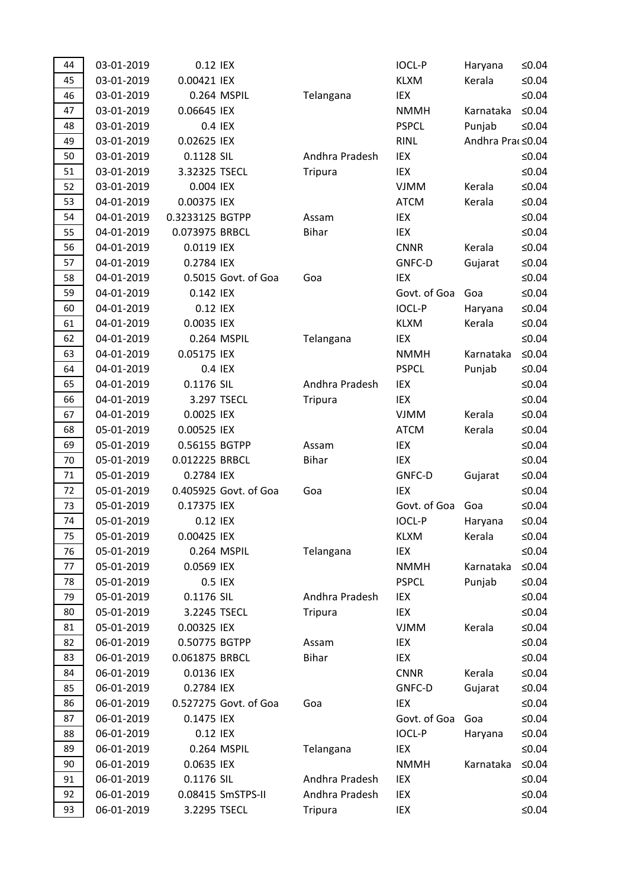| 44 | 03-01-2019 | 0.12 IEX        |                       |                | <b>IOCL-P</b> | Haryana          | ≤ $0.04$ |
|----|------------|-----------------|-----------------------|----------------|---------------|------------------|----------|
| 45 | 03-01-2019 | 0.00421 IEX     |                       |                | <b>KLXM</b>   | Kerala           | ≤ $0.04$ |
| 46 | 03-01-2019 |                 | 0.264 MSPIL           | Telangana      | IEX           |                  | $≤0.04$  |
| 47 | 03-01-2019 | 0.06645 IEX     |                       |                | <b>NMMH</b>   | Karnataka        | $≤0.04$  |
| 48 | 03-01-2019 |                 | 0.4 IEX               |                | <b>PSPCL</b>  | Punjab           | ≤ $0.04$ |
| 49 | 03-01-2019 | 0.02625 IEX     |                       |                | <b>RINL</b>   | Andhra Pra <0.04 |          |
| 50 | 03-01-2019 | 0.1128 SIL      |                       | Andhra Pradesh | IEX           |                  | $≤0.04$  |
| 51 | 03-01-2019 | 3.32325 TSECL   |                       | Tripura        | IEX           |                  | $≤0.04$  |
| 52 | 03-01-2019 | 0.004 IEX       |                       |                | <b>VJMM</b>   | Kerala           | $≤0.04$  |
| 53 | 04-01-2019 | 0.00375 IEX     |                       |                | <b>ATCM</b>   | Kerala           | ≤ $0.04$ |
| 54 | 04-01-2019 | 0.3233125 BGTPP |                       | Assam          | IEX           |                  | ≤ $0.04$ |
| 55 | 04-01-2019 | 0.073975 BRBCL  |                       | <b>Bihar</b>   | IEX           |                  | ≤ $0.04$ |
| 56 | 04-01-2019 | 0.0119 IEX      |                       |                | <b>CNNR</b>   | Kerala           | ≤ $0.04$ |
| 57 | 04-01-2019 | 0.2784 IEX      |                       |                | GNFC-D        | Gujarat          | ≤ $0.04$ |
| 58 | 04-01-2019 |                 | 0.5015 Govt. of Goa   | Goa            | IEX           |                  | ≤ $0.04$ |
| 59 | 04-01-2019 | 0.142 IEX       |                       |                | Govt. of Goa  | Goa              | ≤ $0.04$ |
| 60 | 04-01-2019 | 0.12 IEX        |                       |                | <b>IOCL-P</b> | Haryana          | ≤ $0.04$ |
| 61 | 04-01-2019 | 0.0035 IEX      |                       |                | <b>KLXM</b>   | Kerala           | ≤ $0.04$ |
| 62 | 04-01-2019 |                 | 0.264 MSPIL           | Telangana      | IEX           |                  | $≤0.04$  |
| 63 | 04-01-2019 | 0.05175 IEX     |                       |                | <b>NMMH</b>   | Karnataka        | ≤ $0.04$ |
| 64 | 04-01-2019 |                 | 0.4 IEX               |                | <b>PSPCL</b>  | Punjab           | ≤ $0.04$ |
| 65 | 04-01-2019 | 0.1176 SIL      |                       | Andhra Pradesh | IEX           |                  | ≤ $0.04$ |
| 66 | 04-01-2019 |                 | 3.297 TSECL           | Tripura        | IEX           |                  | ≤ $0.04$ |
| 67 | 04-01-2019 | 0.0025 IEX      |                       |                | <b>VJMM</b>   | Kerala           | ≤ $0.04$ |
| 68 | 05-01-2019 | 0.00525 IEX     |                       |                | <b>ATCM</b>   | Kerala           | ≤ $0.04$ |
| 69 | 05-01-2019 | 0.56155 BGTPP   |                       | Assam          | IEX           |                  | ≤ $0.04$ |
| 70 | 05-01-2019 | 0.012225 BRBCL  |                       | <b>Bihar</b>   | IEX           |                  | ≤ $0.04$ |
| 71 | 05-01-2019 | 0.2784 IEX      |                       |                | GNFC-D        | Gujarat          | ≤ $0.04$ |
| 72 | 05-01-2019 |                 | 0.405925 Govt. of Goa | Goa            | IEX           |                  | ≤ $0.04$ |
| 73 | 05-01-2019 | 0.17375 IEX     |                       |                | Govt. of Goa  | Goa              | ≤ $0.04$ |
| 74 | 05-01-2019 | 0.12 IEX        |                       |                | <b>IOCL-P</b> | Haryana          | ≤ $0.04$ |
| 75 | 05-01-2019 | 0.00425 IEX     |                       |                | <b>KLXM</b>   | Kerala           | ≤0.04    |
| 76 | 05-01-2019 |                 | 0.264 MSPIL           | Telangana      | IEX           |                  | ≤ $0.04$ |
| 77 | 05-01-2019 | 0.0569 IEX      |                       |                | <b>NMMH</b>   | Karnataka        | $≤0.04$  |
| 78 | 05-01-2019 |                 | 0.5 IEX               |                | <b>PSPCL</b>  | Punjab           | ≤ $0.04$ |
| 79 | 05-01-2019 | 0.1176 SIL      |                       | Andhra Pradesh | IEX           |                  | ≤ $0.04$ |
| 80 | 05-01-2019 | 3.2245 TSECL    |                       | Tripura        | IEX           |                  | ≤ $0.04$ |
| 81 | 05-01-2019 | 0.00325 IEX     |                       |                | <b>VJMM</b>   | Kerala           | ≤ $0.04$ |
| 82 | 06-01-2019 | 0.50775 BGTPP   |                       | Assam          | IEX           |                  | ≤ $0.04$ |
| 83 | 06-01-2019 | 0.061875 BRBCL  |                       | <b>Bihar</b>   | IEX           |                  | ≤ $0.04$ |
| 84 | 06-01-2019 | 0.0136 IEX      |                       |                | <b>CNNR</b>   | Kerala           | ≤ $0.04$ |
| 85 | 06-01-2019 | 0.2784 IEX      |                       |                | GNFC-D        | Gujarat          | ≤ $0.04$ |
| 86 | 06-01-2019 |                 | 0.527275 Govt. of Goa | Goa            | IEX           |                  | ≤ $0.04$ |
| 87 | 06-01-2019 | 0.1475 IEX      |                       |                | Govt. of Goa  | Goa              | ≤ $0.04$ |
| 88 | 06-01-2019 | 0.12 IEX        |                       |                | <b>IOCL-P</b> | Haryana          | ≤ $0.04$ |
| 89 | 06-01-2019 |                 | 0.264 MSPIL           | Telangana      | IEX           |                  | ≤ $0.04$ |
| 90 | 06-01-2019 | 0.0635 IEX      |                       |                | <b>NMMH</b>   | Karnataka        | ≤ $0.04$ |
| 91 | 06-01-2019 | 0.1176 SIL      |                       | Andhra Pradesh | IEX           |                  | ≤ $0.04$ |
| 92 | 06-01-2019 |                 | 0.08415 SmSTPS-II     | Andhra Pradesh | IEX           |                  | ≤0.04    |
| 93 | 06-01-2019 | 3.2295 TSECL    |                       | <b>Tripura</b> | IEX           |                  | ≤ $0.04$ |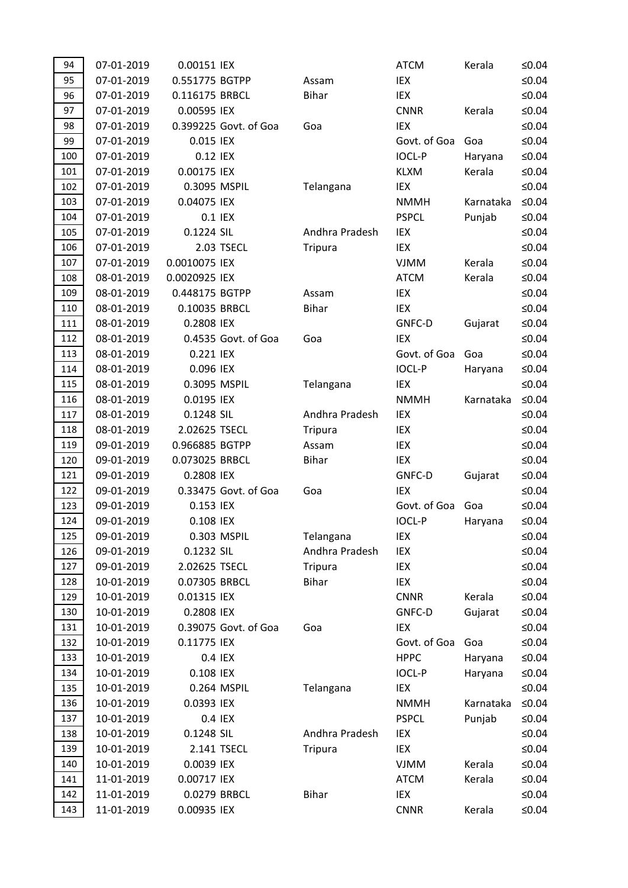| 94  | 07-01-2019 | 0.00151 IEX    |                       |                | <b>ATCM</b>   | Kerala    | $≤0.04$  |
|-----|------------|----------------|-----------------------|----------------|---------------|-----------|----------|
| 95  | 07-01-2019 | 0.551775 BGTPP |                       | Assam          | IEX           |           | $≤0.04$  |
| 96  | 07-01-2019 | 0.116175 BRBCL |                       | <b>Bihar</b>   | IEX           |           | $≤0.04$  |
| 97  | 07-01-2019 | 0.00595 IEX    |                       |                | <b>CNNR</b>   | Kerala    | $≤0.04$  |
| 98  | 07-01-2019 |                | 0.399225 Govt. of Goa | Goa            | <b>IEX</b>    |           | $≤0.04$  |
| 99  | 07-01-2019 | 0.015 IEX      |                       |                | Govt. of Goa  | Goa       | $≤0.04$  |
| 100 | 07-01-2019 | 0.12 IEX       |                       |                | <b>IOCL-P</b> | Haryana   | $≤0.04$  |
| 101 | 07-01-2019 | 0.00175 IEX    |                       |                | <b>KLXM</b>   | Kerala    | $≤0.04$  |
| 102 | 07-01-2019 | 0.3095 MSPIL   |                       | Telangana      | IEX           |           | $≤0.04$  |
| 103 | 07-01-2019 | 0.04075 IEX    |                       |                | <b>NMMH</b>   | Karnataka | $≤0.04$  |
| 104 | 07-01-2019 |                | 0.1 IEX               |                | <b>PSPCL</b>  | Punjab    | ≤ $0.04$ |
| 105 | 07-01-2019 | 0.1224 SIL     |                       | Andhra Pradesh | IEX           |           | $≤0.04$  |
| 106 | 07-01-2019 |                | 2.03 TSECL            | Tripura        | IEX           |           | $≤0.04$  |
| 107 | 07-01-2019 | 0.0010075 IEX  |                       |                | <b>VJMM</b>   | Kerala    | $≤0.04$  |
| 108 | 08-01-2019 | 0.0020925 IEX  |                       |                | <b>ATCM</b>   | Kerala    | $≤0.04$  |
| 109 | 08-01-2019 | 0.448175 BGTPP |                       | Assam          | IEX           |           | $≤0.04$  |
| 110 | 08-01-2019 | 0.10035 BRBCL  |                       | <b>Bihar</b>   | IEX           |           | $≤0.04$  |
| 111 | 08-01-2019 | 0.2808 IEX     |                       |                | GNFC-D        | Gujarat   | $≤0.04$  |
| 112 | 08-01-2019 |                | 0.4535 Govt. of Goa   | Goa            | IEX           |           | $≤0.04$  |
| 113 | 08-01-2019 | 0.221 IEX      |                       |                | Govt. of Goa  | Goa       | $≤0.04$  |
| 114 | 08-01-2019 | 0.096 IEX      |                       |                | <b>IOCL-P</b> | Haryana   | ≤ $0.04$ |
| 115 | 08-01-2019 | 0.3095 MSPIL   |                       | Telangana      | IEX           |           | $≤0.04$  |
| 116 | 08-01-2019 | 0.0195 IEX     |                       |                | <b>NMMH</b>   | Karnataka | $≤0.04$  |
| 117 | 08-01-2019 | 0.1248 SIL     |                       | Andhra Pradesh | IEX           |           | $≤0.04$  |
| 118 | 08-01-2019 | 2.02625 TSECL  |                       | <b>Tripura</b> | IEX           |           | $≤0.04$  |
| 119 | 09-01-2019 | 0.966885 BGTPP |                       | Assam          | IEX           |           | $≤0.04$  |
| 120 | 09-01-2019 | 0.073025 BRBCL |                       | <b>Bihar</b>   | IEX           |           | $≤0.04$  |
| 121 | 09-01-2019 | 0.2808 IEX     |                       |                | GNFC-D        | Gujarat   | $≤0.04$  |
| 122 | 09-01-2019 |                | 0.33475 Govt. of Goa  | Goa            | IEX           |           | $≤0.04$  |
| 123 | 09-01-2019 | 0.153 IEX      |                       |                | Govt. of Goa  | Goa       | $≤0.04$  |
| 124 | 09-01-2019 | 0.108 IEX      |                       |                | <b>IOCL-P</b> | Haryana   | ≤ $0.04$ |
| 125 | 09-01-2019 |                | 0.303 MSPIL           | Telangana      | IEX           |           | ≤0.04    |
| 126 | 09-01-2019 | 0.1232 SIL     |                       | Andhra Pradesh | IEX           |           | $≤0.04$  |
| 127 | 09-01-2019 | 2.02625 TSECL  |                       | <b>Tripura</b> | IEX           |           | $≤0.04$  |
| 128 | 10-01-2019 | 0.07305 BRBCL  |                       | <b>Bihar</b>   | IEX           |           | $≤0.04$  |
| 129 | 10-01-2019 | 0.01315 IEX    |                       |                | <b>CNNR</b>   | Kerala    | $≤0.04$  |
| 130 | 10-01-2019 | 0.2808 IEX     |                       |                | GNFC-D        | Gujarat   | $≤0.04$  |
| 131 | 10-01-2019 |                | 0.39075 Govt. of Goa  | Goa            | IEX           |           | $≤0.04$  |
| 132 | 10-01-2019 | 0.11775 IEX    |                       |                | Govt. of Goa  | Goa       | $≤0.04$  |
| 133 | 10-01-2019 |                | 0.4 IEX               |                | <b>HPPC</b>   | Haryana   | ≤ $0.04$ |
| 134 | 10-01-2019 | 0.108 IEX      |                       |                | <b>IOCL-P</b> | Haryana   | $≤0.04$  |
| 135 | 10-01-2019 |                | 0.264 MSPIL           | Telangana      | IEX           |           | $≤0.04$  |
| 136 | 10-01-2019 | 0.0393 IEX     |                       |                | <b>NMMH</b>   | Karnataka | $≤0.04$  |
| 137 | 10-01-2019 |                | 0.4 IEX               |                | <b>PSPCL</b>  | Punjab    | $≤0.04$  |
| 138 | 10-01-2019 | 0.1248 SIL     |                       | Andhra Pradesh | IEX           |           | $≤0.04$  |
| 139 | 10-01-2019 |                | 2.141 TSECL           | <b>Tripura</b> | IEX           |           | $≤0.04$  |
| 140 | 10-01-2019 | 0.0039 IEX     |                       |                | <b>VJMM</b>   | Kerala    | $≤0.04$  |
| 141 | 11-01-2019 | 0.00717 IEX    |                       |                | <b>ATCM</b>   | Kerala    | $≤0.04$  |
| 142 | 11-01-2019 |                | 0.0279 BRBCL          | <b>Bihar</b>   | IEX           |           | ≤ $0.04$ |
| 143 | 11-01-2019 | 0.00935 IEX    |                       |                | <b>CNNR</b>   | Kerala    | ≤ $0.04$ |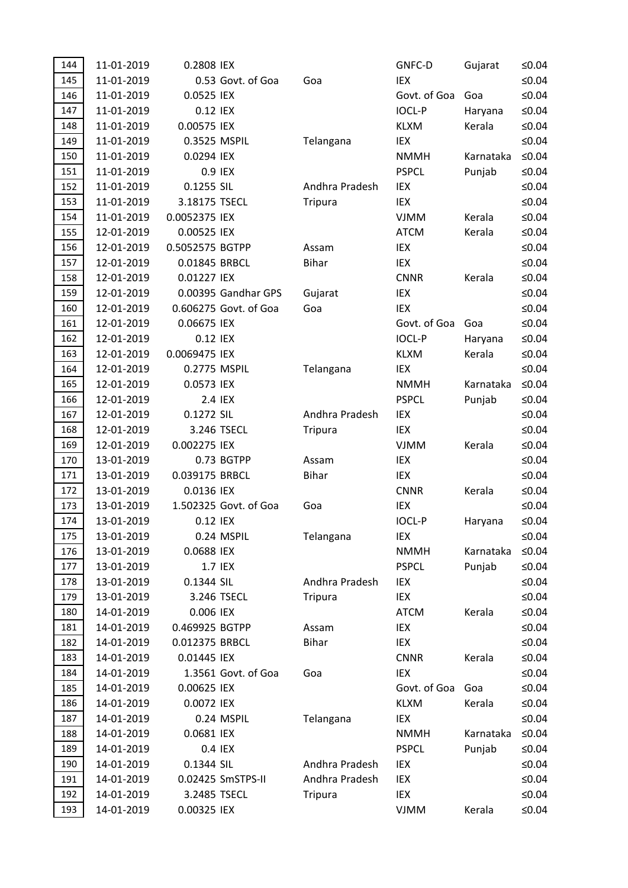| 144 | 11-01-2019 | 0.2808 IEX      |                       |                | GNFC-D        | Gujarat   | ≤0.04       |
|-----|------------|-----------------|-----------------------|----------------|---------------|-----------|-------------|
| 145 | 11-01-2019 |                 | 0.53 Govt. of Goa     | Goa            | <b>IEX</b>    |           | $≤0.04$     |
| 146 | 11-01-2019 | 0.0525 IEX      |                       |                | Govt. of Goa  | Goa       | $≤0.04$     |
| 147 | 11-01-2019 | 0.12 IEX        |                       |                | <b>IOCL-P</b> | Haryana   | ≤ $0.04$    |
| 148 | 11-01-2019 | 0.00575 IEX     |                       |                | <b>KLXM</b>   | Kerala    | $≤0.04$     |
| 149 | 11-01-2019 | 0.3525 MSPIL    |                       | Telangana      | IEX           |           | $≤0.04$     |
| 150 | 11-01-2019 | 0.0294 IEX      |                       |                | <b>NMMH</b>   | Karnataka | $≤0.04$     |
| 151 | 11-01-2019 |                 | 0.9 IEX               |                | <b>PSPCL</b>  | Punjab    | $≤0.04$     |
| 152 | 11-01-2019 | 0.1255 SIL      |                       | Andhra Pradesh | IEX           |           | $≤0.04$     |
| 153 | 11-01-2019 | 3.18175 TSECL   |                       | <b>Tripura</b> | IEX           |           | $≤0.04$     |
| 154 | 11-01-2019 | 0.0052375 IEX   |                       |                | <b>VJMM</b>   | Kerala    | ≤ $0.04$    |
| 155 | 12-01-2019 | 0.00525 IEX     |                       |                | <b>ATCM</b>   | Kerala    | ≤ $0.04$    |
| 156 | 12-01-2019 | 0.5052575 BGTPP |                       | Assam          | IEX           |           | $≤0.04$     |
| 157 | 12-01-2019 | 0.01845 BRBCL   |                       | <b>Bihar</b>   | IEX           |           | ≤ $0.04$    |
| 158 | 12-01-2019 | 0.01227 IEX     |                       |                | <b>CNNR</b>   | Kerala    | ≤ $0.04$    |
| 159 | 12-01-2019 |                 | 0.00395 Gandhar GPS   | Gujarat        | IEX           |           | $≤0.04$     |
| 160 | 12-01-2019 |                 | 0.606275 Govt. of Goa | Goa            | <b>IEX</b>    |           | $≤0.04$     |
| 161 | 12-01-2019 | 0.06675 IEX     |                       |                | Govt. of Goa  | Goa       | $≤0.04$     |
| 162 | 12-01-2019 | 0.12 IEX        |                       |                | <b>IOCL-P</b> | Haryana   | ≤ $0.04$    |
| 163 | 12-01-2019 | 0.0069475 IEX   |                       |                | <b>KLXM</b>   | Kerala    | $≤0.04$     |
| 164 | 12-01-2019 | 0.2775 MSPIL    |                       | Telangana      | IEX           |           | $≤0.04$     |
| 165 | 12-01-2019 | 0.0573 IEX      |                       |                | <b>NMMH</b>   | Karnataka | $≤0.04$     |
| 166 | 12-01-2019 |                 | 2.4 IEX               |                | <b>PSPCL</b>  | Punjab    | $≤0.04$     |
| 167 | 12-01-2019 | 0.1272 SIL      |                       | Andhra Pradesh | IEX           |           | $≤0.04$     |
| 168 | 12-01-2019 |                 | 3.246 TSECL           | <b>Tripura</b> | IEX           |           | $≤0.04$     |
| 169 | 12-01-2019 | 0.002275 IEX    |                       |                | <b>VJMM</b>   | Kerala    | $≤0.04$     |
| 170 | 13-01-2019 |                 | 0.73 BGTPP            | Assam          | IEX           |           | $≤0.04$     |
| 171 | 13-01-2019 | 0.039175 BRBCL  |                       | <b>Bihar</b>   | IEX           |           | $≤0.04$     |
| 172 | 13-01-2019 | 0.0136 IEX      |                       |                | <b>CNNR</b>   | Kerala    | ≤ $0.04$    |
| 173 | 13-01-2019 |                 | 1.502325 Govt. of Goa | Goa            | IEX           |           | $≤0.04$     |
| 174 | 13-01-2019 | 0.12 IEX        |                       |                | <b>IOCL-P</b> | Haryana   | ≤ $0.04$    |
| 175 | 13-01-2019 |                 | 0.24 MSPIL            | Telangana      | IEX           |           | ≤0.04       |
| 176 | 13-01-2019 | 0.0688 IEX      |                       |                | <b>NMMH</b>   | Karnataka | $\leq 0.04$ |
| 177 | 13-01-2019 |                 | 1.7 IEX               |                | <b>PSPCL</b>  | Punjab    | ≤ $0.04$    |
| 178 | 13-01-2019 | 0.1344 SIL      |                       | Andhra Pradesh | IEX           |           | ≤ $0.04$    |
| 179 | 13-01-2019 |                 | 3.246 TSECL           | <b>Tripura</b> | IEX           |           | ≤ $0.04$    |
| 180 | 14-01-2019 | 0.006 IEX       |                       |                | <b>ATCM</b>   | Kerala    | ≤ $0.04$    |
| 181 | 14-01-2019 | 0.469925 BGTPP  |                       | Assam          | IEX           |           | ≤ $0.04$    |
| 182 | 14-01-2019 | 0.012375 BRBCL  |                       | <b>Bihar</b>   | IEX           |           | ≤ $0.04$    |
| 183 | 14-01-2019 | 0.01445 IEX     |                       |                | <b>CNNR</b>   | Kerala    | ≤0.04       |
| 184 | 14-01-2019 |                 | 1.3561 Govt. of Goa   | Goa            | IEX           |           | ≤ $0.04$    |
| 185 | 14-01-2019 | 0.00625 IEX     |                       |                | Govt. of Goa  | Goa       | ≤ $0.04$    |
| 186 | 14-01-2019 | 0.0072 IEX      |                       |                | <b>KLXM</b>   | Kerala    | ≤0.04       |
| 187 | 14-01-2019 |                 | 0.24 MSPIL            | Telangana      | IEX           |           | ≤ $0.04$    |
| 188 | 14-01-2019 | 0.0681 IEX      |                       |                | <b>NMMH</b>   | Karnataka | ≤ $0.04$    |
| 189 | 14-01-2019 |                 | 0.4 IEX               |                | <b>PSPCL</b>  | Punjab    | ≤ $0.04$    |
| 190 | 14-01-2019 | 0.1344 SIL      |                       | Andhra Pradesh | IEX           |           | ≤ $0.04$    |
| 191 | 14-01-2019 |                 | 0.02425 SmSTPS-II     | Andhra Pradesh | IEX           |           | ≤ $0.04$    |
| 192 | 14-01-2019 | 3.2485 TSECL    |                       | <b>Tripura</b> | IEX           |           | ≤ $0.04$    |
| 193 | 14-01-2019 | 0.00325 IEX     |                       |                | VJMM          | Kerala    | ≤0.04       |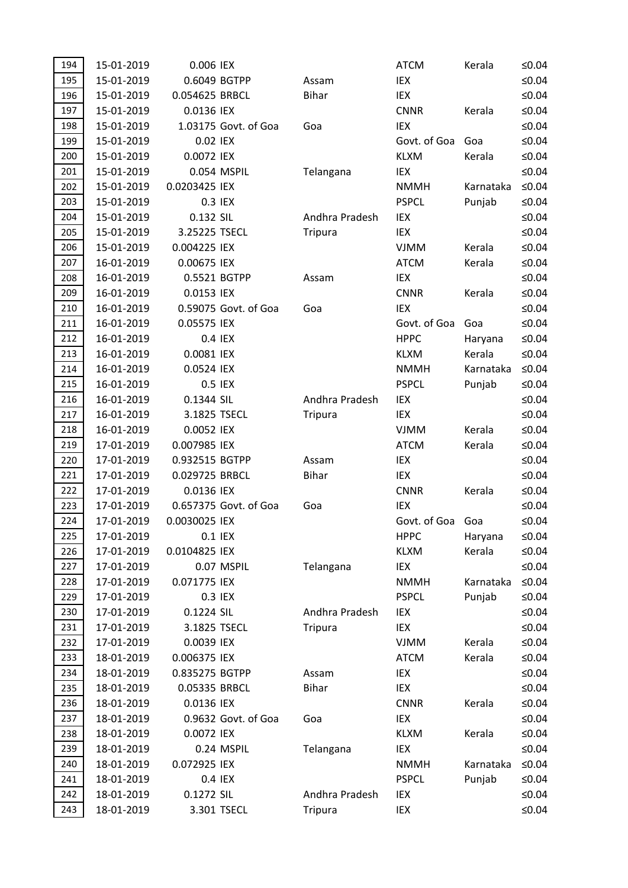| 194 | 15-01-2019 | 0.006 IEX      |                       |                | <b>ATCM</b>  | Kerala    | ≤0.04    |
|-----|------------|----------------|-----------------------|----------------|--------------|-----------|----------|
| 195 | 15-01-2019 | 0.6049 BGTPP   |                       | Assam          | IEX          |           | $≤0.04$  |
| 196 | 15-01-2019 | 0.054625 BRBCL |                       | <b>Bihar</b>   | IEX          |           | $≤0.04$  |
| 197 | 15-01-2019 | 0.0136 IEX     |                       |                | <b>CNNR</b>  | Kerala    | ≤ $0.04$ |
| 198 | 15-01-2019 |                | 1.03175 Govt. of Goa  | Goa            | IEX          |           | $≤0.04$  |
| 199 | 15-01-2019 | 0.02 IEX       |                       |                | Govt. of Goa | Goa       | ≤0.04    |
| 200 | 15-01-2019 | 0.0072 IEX     |                       |                | <b>KLXM</b>  | Kerala    | $≤0.04$  |
| 201 | 15-01-2019 | 0.054 MSPIL    |                       | Telangana      | IEX          |           | $≤0.04$  |
| 202 | 15-01-2019 | 0.0203425 IEX  |                       |                | <b>NMMH</b>  | Karnataka | $≤0.04$  |
| 203 | 15-01-2019 | 0.3 IEX        |                       |                | <b>PSPCL</b> | Punjab    | $≤0.04$  |
| 204 | 15-01-2019 | 0.132 SIL      |                       | Andhra Pradesh | IEX          |           | ≤ $0.04$ |
| 205 | 15-01-2019 | 3.25225 TSECL  |                       | <b>Tripura</b> | IEX          |           | $≤0.04$  |
| 206 | 15-01-2019 | 0.004225 IEX   |                       |                | <b>VJMM</b>  | Kerala    | $≤0.04$  |
| 207 | 16-01-2019 | 0.00675 IEX    |                       |                | <b>ATCM</b>  | Kerala    | ≤ $0.04$ |
| 208 | 16-01-2019 | 0.5521 BGTPP   |                       | Assam          | IEX          |           | $≤0.04$  |
| 209 | 16-01-2019 | 0.0153 IEX     |                       |                | <b>CNNR</b>  | Kerala    | ≤0.04    |
| 210 | 16-01-2019 |                | 0.59075 Govt. of Goa  | Goa            | IEX          |           | $≤0.04$  |
| 211 | 16-01-2019 | 0.05575 IEX    |                       |                | Govt. of Goa | Goa       | $≤0.04$  |
| 212 | 16-01-2019 | 0.4 IEX        |                       |                | <b>HPPC</b>  | Haryana   | $≤0.04$  |
| 213 | 16-01-2019 | 0.0081 IEX     |                       |                | <b>KLXM</b>  | Kerala    | $≤0.04$  |
| 214 | 16-01-2019 | 0.0524 IEX     |                       |                | <b>NMMH</b>  | Karnataka | $≤0.04$  |
| 215 | 16-01-2019 | 0.5 IEX        |                       |                | <b>PSPCL</b> | Punjab    | $≤0.04$  |
| 216 | 16-01-2019 | 0.1344 SIL     |                       | Andhra Pradesh | IEX          |           | $≤0.04$  |
| 217 | 16-01-2019 | 3.1825 TSECL   |                       | <b>Tripura</b> | IEX          |           | $≤0.04$  |
| 218 | 16-01-2019 | 0.0052 IEX     |                       |                | <b>VJMM</b>  | Kerala    | $≤0.04$  |
| 219 | 17-01-2019 | 0.007985 IEX   |                       |                | <b>ATCM</b>  | Kerala    | $≤0.04$  |
| 220 | 17-01-2019 | 0.932515 BGTPP |                       | Assam          | IEX          |           | $≤0.04$  |
| 221 | 17-01-2019 | 0.029725 BRBCL |                       | <b>Bihar</b>   | IEX          |           | $≤0.04$  |
| 222 | 17-01-2019 | 0.0136 IEX     |                       |                | <b>CNNR</b>  | Kerala    | ≤ $0.04$ |
| 223 | 17-01-2019 |                | 0.657375 Govt. of Goa | Goa            | IEX          |           | ≤ $0.04$ |
| 224 | 17-01-2019 | 0.0030025 IEX  |                       |                | Govt. of Goa | Goa       | $≤0.04$  |
| 225 | 17-01-2019 | 0.1 IEX        |                       |                | <b>HPPC</b>  | Haryana   | ≤0.04    |
| 226 | 17-01-2019 | 0.0104825 IEX  |                       |                | <b>KLXM</b>  | Kerala    | $≤0.04$  |
| 227 | 17-01-2019 | 0.07 MSPIL     |                       | Telangana      | IEX          |           | $≤0.04$  |
| 228 | 17-01-2019 | 0.071775 IEX   |                       |                | <b>NMMH</b>  | Karnataka | $≤0.04$  |
| 229 | 17-01-2019 | 0.3 IEX        |                       |                | <b>PSPCL</b> | Punjab    | $≤0.04$  |
| 230 | 17-01-2019 | 0.1224 SIL     |                       | Andhra Pradesh | IEX          |           | $≤0.04$  |
| 231 | 17-01-2019 | 3.1825 TSECL   |                       | <b>Tripura</b> | IEX          |           | $≤0.04$  |
| 232 | 17-01-2019 | 0.0039 IEX     |                       |                | <b>VJMM</b>  | Kerala    | ≤ $0.04$ |
| 233 | 18-01-2019 | 0.006375 IEX   |                       |                | <b>ATCM</b>  | Kerala    | $≤0.04$  |
| 234 | 18-01-2019 | 0.835275 BGTPP |                       | Assam          | IEX          |           | $≤0.04$  |
| 235 | 18-01-2019 | 0.05335 BRBCL  |                       | <b>Bihar</b>   | IEX          |           | $≤0.04$  |
| 236 | 18-01-2019 | 0.0136 IEX     |                       |                | <b>CNNR</b>  | Kerala    | ≤ $0.04$ |
| 237 | 18-01-2019 |                | 0.9632 Govt. of Goa   | Goa            | IEX          |           | $≤0.04$  |
| 238 | 18-01-2019 | 0.0072 IEX     |                       |                | <b>KLXM</b>  | Kerala    | ≤ $0.04$ |
| 239 | 18-01-2019 | 0.24 MSPIL     |                       | Telangana      | IEX          |           | $≤0.04$  |
| 240 | 18-01-2019 | 0.072925 IEX   |                       |                | <b>NMMH</b>  | Karnataka | $≤0.04$  |
| 241 | 18-01-2019 | 0.4 IEX        |                       |                | <b>PSPCL</b> | Punjab    | ≤ $0.04$ |
| 242 | 18-01-2019 | 0.1272 SIL     |                       | Andhra Pradesh | IEX          |           | ≤ $0.04$ |
| 243 | 18-01-2019 | 3.301 TSECL    |                       | <b>Tripura</b> | IEX          |           | $≤0.04$  |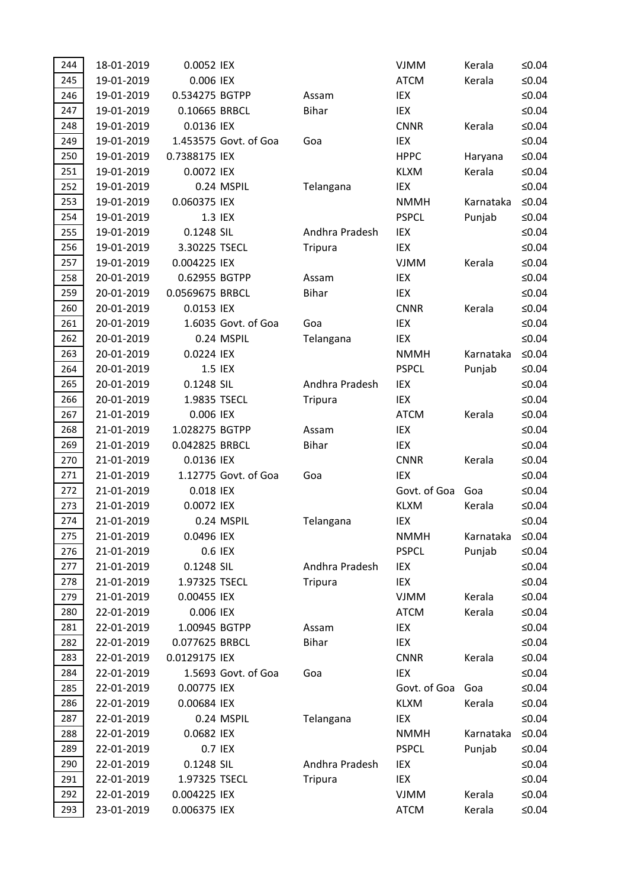| 244 | 18-01-2019               | 0.0052 IEX                   |                       |                | <b>VJMM</b>                | Kerala           | ≤ $0.04$           |
|-----|--------------------------|------------------------------|-----------------------|----------------|----------------------------|------------------|--------------------|
| 245 | 19-01-2019               | 0.006 IEX                    |                       |                | <b>ATCM</b>                | Kerala           | $≤0.04$            |
| 246 | 19-01-2019               | 0.534275 BGTPP               |                       | Assam          | IEX                        |                  | $≤0.04$            |
| 247 | 19-01-2019               | 0.10665 BRBCL                |                       | <b>Bihar</b>   | IEX                        |                  | $≤0.04$            |
| 248 | 19-01-2019               | 0.0136 IEX                   |                       |                | <b>CNNR</b>                | Kerala           | $≤0.04$            |
| 249 | 19-01-2019               |                              | 1.453575 Govt. of Goa | Goa            | IEX                        |                  | $≤0.04$            |
| 250 | 19-01-2019               | 0.7388175 IEX                |                       |                | <b>HPPC</b>                | Haryana          | $≤0.04$            |
| 251 | 19-01-2019               | 0.0072 IEX                   |                       |                | <b>KLXM</b>                | Kerala           | $≤0.04$            |
| 252 | 19-01-2019               |                              | 0.24 MSPIL            | Telangana      | IEX                        |                  | $≤0.04$            |
| 253 | 19-01-2019               | 0.060375 IEX                 |                       |                | <b>NMMH</b>                | Karnataka        | $≤0.04$            |
| 254 | 19-01-2019               |                              | 1.3 IEX               |                | <b>PSPCL</b>               | Punjab           | $≤0.04$            |
| 255 | 19-01-2019               | 0.1248 SIL                   |                       | Andhra Pradesh | IEX                        |                  | $≤0.04$            |
| 256 | 19-01-2019               | 3.30225 TSECL                |                       | <b>Tripura</b> | IEX                        |                  | $≤0.04$            |
| 257 | 19-01-2019               | 0.004225 IEX                 |                       |                | <b>VJMM</b>                | Kerala           | $≤0.04$            |
| 258 | 20-01-2019               | 0.62955 BGTPP                |                       | Assam          | IEX                        |                  | $≤0.04$            |
| 259 | 20-01-2019               | 0.0569675 BRBCL              |                       | <b>Bihar</b>   | IEX                        |                  | $≤0.04$            |
| 260 | 20-01-2019               | 0.0153 IEX                   |                       |                | <b>CNNR</b>                | Kerala           | $≤0.04$            |
| 261 | 20-01-2019               |                              | 1.6035 Govt. of Goa   | Goa            | IEX                        |                  | $≤0.04$            |
| 262 | 20-01-2019               |                              | 0.24 MSPIL            | Telangana      | IEX                        |                  | $≤0.04$            |
| 263 | 20-01-2019               | 0.0224 IEX                   |                       |                | <b>NMMH</b>                | Karnataka        | $≤0.04$            |
| 264 | 20-01-2019               |                              | 1.5 IEX               |                | <b>PSPCL</b>               | Punjab           | $≤0.04$            |
| 265 | 20-01-2019               | 0.1248 SIL                   |                       | Andhra Pradesh | IEX                        |                  | $≤0.04$            |
| 266 | 20-01-2019               | 1.9835 TSECL                 |                       | <b>Tripura</b> | IEX                        |                  | $≤0.04$            |
| 267 | 21-01-2019               | 0.006 IEX                    |                       |                | <b>ATCM</b>                | Kerala           | $≤0.04$            |
| 268 | 21-01-2019               | 1.028275 BGTPP               |                       | Assam          | IEX                        |                  | $≤0.04$            |
| 269 | 21-01-2019               | 0.042825 BRBCL               |                       | <b>Bihar</b>   | IEX                        |                  | $≤0.04$            |
| 270 | 21-01-2019               | 0.0136 IEX                   |                       |                | <b>CNNR</b>                | Kerala           | $≤0.04$            |
| 271 | 21-01-2019               |                              | 1.12775 Govt. of Goa  | Goa            | IEX                        |                  | $≤0.04$            |
| 272 | 21-01-2019               | 0.018 IEX                    |                       |                | Govt. of Goa               | Goa              | $≤0.04$            |
| 273 | 21-01-2019               | 0.0072 IEX                   |                       |                | <b>KLXM</b>                | Kerala           | $≤0.04$            |
| 274 | 21-01-2019               |                              | 0.24 MSPIL            | Telangana      | IEX                        |                  | $≤0.04$            |
| 275 | 21-01-2019               | 0.0496 IEX                   |                       |                | <b>NMMH</b>                | Karnataka        | ≤0.04              |
| 276 | 21-01-2019               |                              | 0.6 IEX               |                | <b>PSPCL</b>               | Punjab           | $≤0.04$            |
| 277 | 21-01-2019               | 0.1248 SIL                   |                       | Andhra Pradesh | IEX                        |                  | $≤0.04$            |
| 278 | 21-01-2019               | 1.97325 TSECL                |                       | <b>Tripura</b> | IEX                        |                  | $≤0.04$            |
| 279 | 21-01-2019               | 0.00455 IEX                  |                       |                | <b>VJMM</b>                | Kerala           | $≤0.04$            |
| 280 | 22-01-2019               | 0.006 IEX                    |                       |                | <b>ATCM</b>                | Kerala           | $≤0.04$            |
| 281 | 22-01-2019               | 1.00945 BGTPP                |                       | Assam          | IEX                        |                  | $≤0.04$            |
| 282 | 22-01-2019               | 0.077625 BRBCL               |                       | <b>Bihar</b>   | IEX                        |                  | $≤0.04$            |
| 283 | 22-01-2019               | 0.0129175 IEX                |                       |                | <b>CNNR</b>                | Kerala           | $≤0.04$            |
| 284 | 22-01-2019               |                              | 1.5693 Govt. of Goa   | Goa            | IEX                        |                  | $≤0.04$            |
| 285 | 22-01-2019               | 0.00775 IEX                  |                       |                | Govt. of Goa               | Goa              | $≤0.04$            |
| 286 | 22-01-2019               | 0.00684 IEX                  |                       |                | <b>KLXM</b>                | Kerala           | $≤0.04$            |
| 287 | 22-01-2019               |                              | 0.24 MSPIL            | Telangana      | IEX                        |                  | $≤0.04$            |
| 288 | 22-01-2019               | 0.0682 IEX                   |                       |                | <b>NMMH</b>                | Karnataka        | $≤0.04$            |
| 289 | 22-01-2019               |                              | 0.7 IEX               |                | <b>PSPCL</b>               | Punjab           | $≤0.04$            |
| 290 | 22-01-2019               | 0.1248 SIL                   |                       | Andhra Pradesh | IEX                        |                  | $≤0.04$            |
|     |                          |                              |                       |                |                            |                  |                    |
| 291 | 22-01-2019               | 1.97325 TSECL                |                       | <b>Tripura</b> | IEX                        |                  | $≤0.04$            |
| 292 | 22-01-2019<br>23-01-2019 | 0.004225 IEX<br>0.006375 IEX |                       |                | <b>VJMM</b><br><b>ATCM</b> | Kerala<br>Kerala | $≤0.04$<br>$≤0.04$ |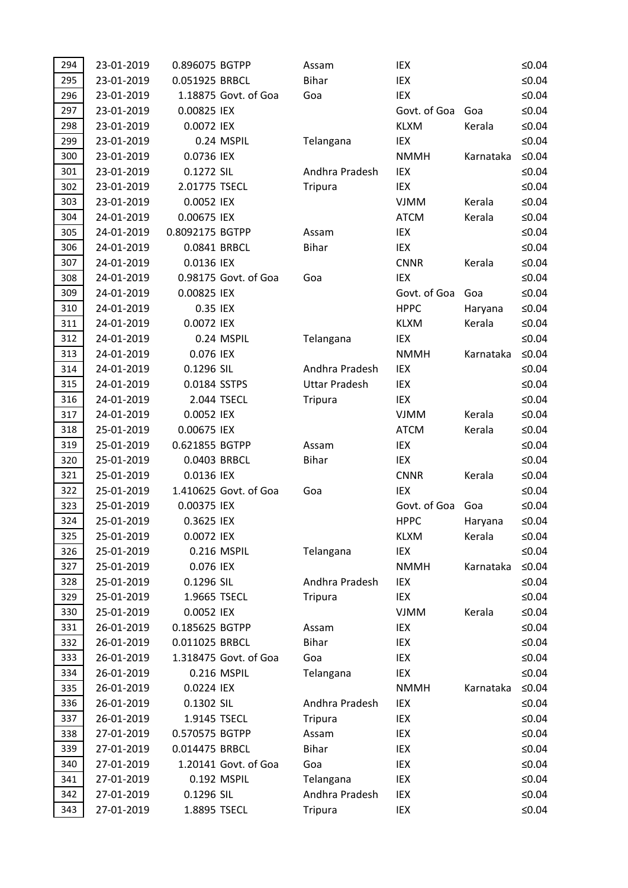| 294        | 23-01-2019 | 0.896075 BGTPP             |                       | Assam                            | IEX          |           | $≤0.04$           |
|------------|------------|----------------------------|-----------------------|----------------------------------|--------------|-----------|-------------------|
| 295        | 23-01-2019 | 0.051925 BRBCL             |                       | <b>Bihar</b>                     | IEX          |           | ≤0.04             |
| 296        | 23-01-2019 |                            | 1.18875 Govt. of Goa  | Goa                              | IEX          |           | ≤0.04             |
| 297        | 23-01-2019 | 0.00825 IEX                |                       |                                  | Govt. of Goa | Goa       | ≤ $0.04$          |
| 298        | 23-01-2019 | 0.0072 IEX                 |                       |                                  | <b>KLXM</b>  | Kerala    | $≤0.04$           |
| 299        | 23-01-2019 |                            | 0.24 MSPIL            | Telangana                        | IEX          |           | $≤0.04$           |
| 300        | 23-01-2019 | 0.0736 IEX                 |                       |                                  | <b>NMMH</b>  | Karnataka | $≤0.04$           |
| 301        | 23-01-2019 | 0.1272 SIL                 |                       | Andhra Pradesh                   | IEX          |           | $≤0.04$           |
| 302        | 23-01-2019 | 2.01775 TSECL              |                       | <b>Tripura</b>                   | IEX          |           | $≤0.04$           |
| 303        | 23-01-2019 | 0.0052 IEX                 |                       |                                  | <b>VJMM</b>  | Kerala    | $≤0.04$           |
| 304        | 24-01-2019 | 0.00675 IEX                |                       |                                  | <b>ATCM</b>  | Kerala    | ≤ $0.04$          |
| 305        | 24-01-2019 | 0.8092175 BGTPP            |                       | Assam                            | IEX          |           | $≤0.04$           |
| 306        | 24-01-2019 | 0.0841 BRBCL               |                       | <b>Bihar</b>                     | IEX          |           | ≤ $0.04$          |
| 307        | 24-01-2019 | 0.0136 IEX                 |                       |                                  | <b>CNNR</b>  | Kerala    | $≤0.04$           |
| 308        | 24-01-2019 |                            | 0.98175 Govt. of Goa  | Goa                              | <b>IEX</b>   |           | ≤ $0.04$          |
| 309        | 24-01-2019 | 0.00825 IEX                |                       |                                  | Govt. of Goa | Goa       | ≤ $0.04$          |
| 310        | 24-01-2019 | 0.35 IEX                   |                       |                                  | <b>HPPC</b>  | Haryana   | $≤0.04$           |
| 311        | 24-01-2019 | 0.0072 IEX                 |                       |                                  | <b>KLXM</b>  | Kerala    | $≤0.04$           |
| 312        | 24-01-2019 |                            | 0.24 MSPIL            | Telangana                        | IEX          |           | $≤0.04$           |
| 313        | 24-01-2019 | 0.076 IEX                  |                       |                                  | <b>NMMH</b>  | Karnataka | $≤0.04$           |
| 314        | 24-01-2019 | 0.1296 SIL                 |                       | Andhra Pradesh                   | IEX          |           | $≤0.04$           |
| 315        | 24-01-2019 | 0.0184 SSTPS               |                       | <b>Uttar Pradesh</b>             | IEX          |           | $≤0.04$           |
| 316        | 24-01-2019 | 2.044 TSECL                |                       | <b>Tripura</b>                   | IEX          |           | ≤ $0.04$          |
| 317        | 24-01-2019 | 0.0052 IEX                 |                       |                                  | <b>VJMM</b>  | Kerala    | $≤0.04$           |
| 318        | 25-01-2019 | 0.00675 IEX                |                       |                                  | <b>ATCM</b>  | Kerala    | $≤0.04$           |
| 319        | 25-01-2019 | 0.621855 BGTPP             |                       | Assam                            | IEX          |           | ≤ $0.04$          |
| 320        | 25-01-2019 | 0.0403 BRBCL               |                       | <b>Bihar</b>                     | IEX          |           | $≤0.04$           |
| 321        | 25-01-2019 | 0.0136 IEX                 |                       |                                  | <b>CNNR</b>  | Kerala    | ≤ $0.04$          |
| 322        | 25-01-2019 |                            | 1.410625 Govt. of Goa | Goa                              | IEX          |           | ≤ $0.04$          |
| 323        | 25-01-2019 | 0.00375 IEX                |                       |                                  | Govt. of Goa | Goa       | ≤ $0.04$          |
| 324        | 25-01-2019 | 0.3625 IEX                 |                       |                                  | <b>HPPC</b>  | Haryana   | $≤0.04$           |
| 325        | 25-01-2019 | 0.0072 IEX                 |                       |                                  | <b>KLXM</b>  | Kerala    | ≤ $0.04$          |
| 326        | 25-01-2019 | 0.216 MSPIL                |                       | Telangana                        | IEX          |           | ≤0.04             |
| 327        | 25-01-2019 | 0.076 IEX                  |                       |                                  | <b>NMMH</b>  | Karnataka | $≤0.04$           |
| 328        | 25-01-2019 | 0.1296 SIL                 |                       | Andhra Pradesh                   | IEX          |           | ≤ $0.04$          |
| 329        | 25-01-2019 | 1.9665 TSECL               |                       | Tripura                          | IEX          |           | ≤ $0.04$          |
| 330        | 25-01-2019 | 0.0052 IEX                 |                       |                                  | <b>VJMM</b>  | Kerala    | $≤0.04$           |
| 331        | 26-01-2019 | 0.185625 BGTPP             |                       | Assam                            | IEX          |           | ≤ $0.04$          |
| 332        | 26-01-2019 | 0.011025 BRBCL             |                       | <b>Bihar</b>                     | IEX          |           | ≤ $0.04$          |
| 333        | 26-01-2019 |                            | 1.318475 Govt. of Goa | Goa                              | IEX          |           | ≤ $0.04$          |
| 334        | 26-01-2019 | 0.216 MSPIL                |                       | Telangana                        | IEX          |           | ≤ $0.04$          |
| 335        | 26-01-2019 | 0.0224 IEX                 |                       |                                  | <b>NMMH</b>  | Karnataka | $≤0.04$           |
| 336        | 26-01-2019 | 0.1302 SIL                 |                       | Andhra Pradesh                   | IEX          |           | ≤ $0.04$          |
| 337        | 26-01-2019 | 1.9145 TSECL               |                       | <b>Tripura</b>                   | IEX          |           | ≤ $0.04$          |
| 338        | 27-01-2019 | 0.570575 BGTPP             |                       | Assam                            | IEX          |           | ≤ $0.04$          |
| 339        | 27-01-2019 | 0.014475 BRBCL             |                       | <b>Bihar</b>                     | IEX          |           | ≤ $0.04$          |
| 340        | 27-01-2019 |                            | 1.20141 Govt. of Goa  | Goa                              | IEX          |           | $≤0.04$           |
| 341        | 27-01-2019 | 0.192 MSPIL                |                       | Telangana                        | IEX          |           | $≤0.04$           |
| 342<br>343 | 27-01-2019 | 0.1296 SIL<br>1.8895 TSECL |                       | Andhra Pradesh<br><b>Tripura</b> | IEX<br>IEX   |           | ≤0.04<br>≤ $0.04$ |
|            | 27-01-2019 |                            |                       |                                  |              |           |                   |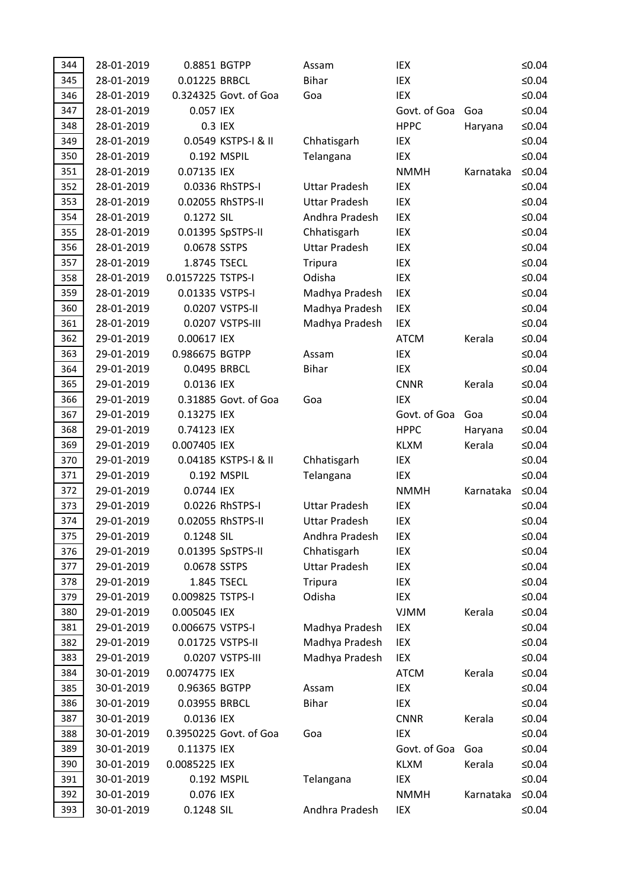| 344        | 28-01-2019               | 0.8851 BGTPP            |                        | Assam                | IEX                |           | ≤0.04                |
|------------|--------------------------|-------------------------|------------------------|----------------------|--------------------|-----------|----------------------|
| 345        | 28-01-2019               | 0.01225 BRBCL           |                        | <b>Bihar</b>         | IEX                |           | ≤ $0.04$             |
| 346        | 28-01-2019               |                         | 0.324325 Govt. of Goa  | Goa                  | IEX                |           | ≤ $0.04$             |
| 347        | 28-01-2019               | 0.057 IEX               |                        |                      | Govt. of Goa       | Goa       | ≤0.04                |
| 348        | 28-01-2019               | 0.3 IEX                 |                        |                      | <b>HPPC</b>        | Haryana   | ≤ $0.04$             |
| 349        | 28-01-2019               |                         | 0.0549 KSTPS-I & II    | Chhatisgarh          | IEX                |           | ≤ $0.04$             |
| 350        | 28-01-2019               |                         | 0.192 MSPIL            | Telangana            | IEX                |           | ≤ $0.04$             |
| 351        | 28-01-2019               | 0.07135 IEX             |                        |                      | <b>NMMH</b>        | Karnataka | $≤0.04$              |
| 352        | 28-01-2019               |                         | 0.0336 RhSTPS-I        | <b>Uttar Pradesh</b> | IEX                |           | ≤ $0.04$             |
| 353        | 28-01-2019               |                         | 0.02055 RhSTPS-II      | <b>Uttar Pradesh</b> | IEX                |           | ≤ $0.04$             |
| 354        | 28-01-2019               | 0.1272 SIL              |                        | Andhra Pradesh       | IEX                |           | ≤ $0.04$             |
| 355        | 28-01-2019               |                         | 0.01395 SpSTPS-II      | Chhatisgarh          | IEX                |           | $≤0.04$              |
| 356        | 28-01-2019               | 0.0678 SSTPS            |                        | <b>Uttar Pradesh</b> | IEX                |           | ≤ $0.04$             |
| 357        | 28-01-2019               | 1.8745 TSECL            |                        | <b>Tripura</b>       | IEX                |           | ≤ $0.04$             |
| 358        | 28-01-2019               | 0.0157225 TSTPS-I       |                        | Odisha               | IEX                |           | ≤ $0.04$             |
| 359        | 28-01-2019               | 0.01335 VSTPS-I         |                        | Madhya Pradesh       | IEX                |           | ≤0.04                |
| 360        | 28-01-2019               |                         | 0.0207 VSTPS-II        | Madhya Pradesh       | IEX                |           | $≤0.04$              |
| 361        | 28-01-2019               |                         | 0.0207 VSTPS-III       | Madhya Pradesh       | IEX                |           | ≤ $0.04$             |
| 362        | 29-01-2019               | 0.00617 IEX             |                        |                      | <b>ATCM</b>        | Kerala    | ≤ $0.04$             |
| 363        | 29-01-2019               | 0.986675 BGTPP          |                        | Assam                | IEX                |           | ≤ $0.04$             |
| 364        | 29-01-2019               | 0.0495 BRBCL            |                        | <b>Bihar</b>         | IEX                |           | ≤ $0.04$             |
| 365        | 29-01-2019               | 0.0136 IEX              |                        |                      | <b>CNNR</b>        | Kerala    | ≤ $0.04$             |
| 366        | 29-01-2019               |                         | 0.31885 Govt. of Goa   | Goa                  | <b>IEX</b>         |           | ≤ $0.04$             |
| 367        | 29-01-2019               | 0.13275 IEX             |                        |                      | Govt. of Goa       | Goa       | ≤ $0.04$             |
| 368        | 29-01-2019               | 0.74123 IEX             |                        |                      | <b>HPPC</b>        | Haryana   | ≤ $0.04$             |
| 369        | 29-01-2019               | 0.007405 IEX            |                        |                      | <b>KLXM</b>        | Kerala    | ≤0.04                |
| 370        | 29-01-2019               |                         | 0.04185 KSTPS-I & II   | Chhatisgarh          | IEX                |           | ≤ $0.04$             |
| 371        | 29-01-2019               |                         | 0.192 MSPIL            | Telangana            | IEX                |           | ≤ $0.04$             |
| 372        | 29-01-2019               | 0.0744 IEX              |                        |                      | <b>NMMH</b>        | Karnataka | $≤0.04$              |
| 373        | 29-01-2019               |                         | 0.0226 RhSTPS-I        | <b>Uttar Pradesh</b> | IEX                |           | ≤ $0.04$             |
| 374        | 29-01-2019               |                         | 0.02055 RhSTPS-II      | <b>Uttar Pradesh</b> | IEX                |           | $≤0.04$              |
| 375        | 29-01-2019               | 0.1248 SIL              |                        | Andhra Pradesh       | IEX                |           | ≤0.04                |
| 376        | 29-01-2019               |                         | 0.01395 SpSTPS-II      | Chhatisgarh          | IEX                |           | ≤ $0.04$             |
| 377        | 29-01-2019               | 0.0678 SSTPS            |                        | <b>Uttar Pradesh</b> | IEX                |           | ≤0.04                |
| 378        | 29-01-2019               |                         | 1.845 TSECL            | <b>Tripura</b>       | IEX                |           | ≤ $0.04$             |
| 379        | 29-01-2019               | 0.009825 TSTPS-I        |                        | Odisha               | IEX                |           | ≤ $0.04$             |
| 380        |                          |                         |                        |                      |                    |           |                      |
| 381        | 29-01-2019               | 0.005045 IEX            |                        |                      | <b>VJMM</b>        | Kerala    | ≤ $0.04$             |
|            | 29-01-2019               | 0.006675 VSTPS-I        |                        | Madhya Pradesh       | IEX                |           | ≤ $0.04$             |
| 382        | 29-01-2019               | 0.01725 VSTPS-II        |                        | Madhya Pradesh       | IEX                |           | ≤ $0.04$             |
| 383        | 29-01-2019               |                         | 0.0207 VSTPS-III       | Madhya Pradesh       | IEX                |           | ≤ $0.04$             |
| 384        | 30-01-2019               | 0.0074775 IEX           |                        |                      | <b>ATCM</b>        | Kerala    | ≤ $0.04$             |
| 385        | 30-01-2019               | 0.96365 BGTPP           |                        | Assam                | IEX                |           | ≤ $0.04$             |
| 386        | 30-01-2019               | 0.03955 BRBCL           |                        | <b>Bihar</b>         | IEX                |           | ≤ $0.04$             |
| 387        | 30-01-2019               | 0.0136 IEX              |                        |                      | <b>CNNR</b>        | Kerala    | ≤ $0.04$             |
| 388        | 30-01-2019               |                         | 0.3950225 Govt. of Goa | Goa                  | IEX                |           | ≤ $0.04$             |
| 389        | 30-01-2019               | 0.11375 IEX             |                        |                      | Govt. of Goa       | Goa       | ≤ $0.04$             |
| 390        | 30-01-2019               | 0.0085225 IEX           |                        |                      | <b>KLXM</b>        | Kerala    | ≤ $0.04$             |
| 391        | 30-01-2019               |                         | 0.192 MSPIL            | Telangana            | IEX                |           | ≤ $0.04$             |
| 392<br>393 | 30-01-2019<br>30-01-2019 | 0.076 IEX<br>0.1248 SIL |                        | Andhra Pradesh       | <b>NMMH</b><br>IEX | Karnataka | ≤ $0.04$<br>≤ $0.04$ |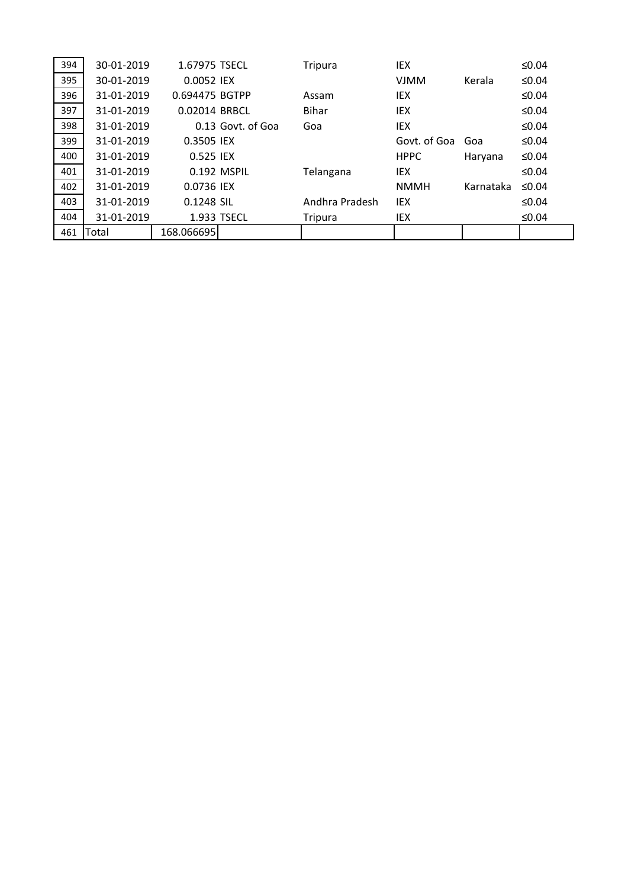| 394 | 30-01-2019 | 1.67975 TSECL  |                     | Tripura        | IEX          |           | ≤ $0.04$    |
|-----|------------|----------------|---------------------|----------------|--------------|-----------|-------------|
| 395 | 30-01-2019 | 0.0052 IEX     |                     |                | <b>VJMM</b>  | Kerala    | ≤0.04       |
| 396 | 31-01-2019 | 0.694475 BGTPP |                     | Assam          | IEX          |           | ≤0.04       |
| 397 | 31-01-2019 | 0.02014 BRBCL  |                     | <b>Bihar</b>   | IEX          |           | ≤0.04       |
| 398 | 31-01-2019 |                | $0.13$ Govt. of Goa | Goa            | IEX          |           | ≤0.04       |
| 399 | 31-01-2019 | 0.3505 IEX     |                     |                | Govt. of Goa | Goa       | ≤0.04       |
| 400 | 31-01-2019 | 0.525 IEX      |                     |                | <b>HPPC</b>  | Haryana   | ≤0.04       |
| 401 | 31-01-2019 |                | 0.192 MSPIL         | Telangana      | IEX          |           | ≤0.04       |
| 402 | 31-01-2019 | 0.0736 IEX     |                     |                | <b>NMMH</b>  | Karnataka | $\leq 0.04$ |
| 403 | 31-01-2019 | 0.1248 SIL     |                     | Andhra Pradesh | <b>IEX</b>   |           | ≤0.04       |
| 404 | 31-01-2019 | 1.933 TSECL    |                     | Tripura        | IEX          |           | ≤0.04       |
| 461 | Total      | 168.066695     |                     |                |              |           |             |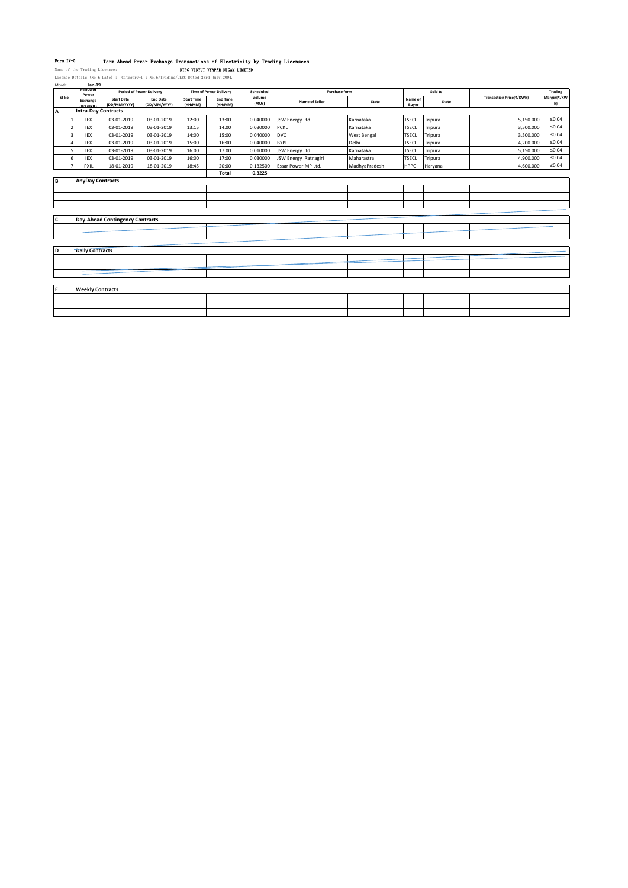**Form IV-G – Term Ahead Power Exchange Transactions of Electricity by Trading Licensees<br>Name of the Trading Licensee: Least Commencer Comment Comment WYARAN NEWSING INITED<br>Licence Details (No & Date) : Category-1 ; No.6/Tr** 

| Month:                          | Jan-19                  |                                        |                                                                                                |                              |                            |                 |                      |                    |                  |         |                          |                   |
|---------------------------------|-------------------------|----------------------------------------|------------------------------------------------------------------------------------------------|------------------------------|----------------------------|-----------------|----------------------|--------------------|------------------|---------|--------------------------|-------------------|
|                                 | Period of<br>Power      |                                        | <b>Period of Power Delivery</b><br><b>Time of Power Delivery</b><br>Scheduled<br>Purchase form |                              | Sold to                    |                 | Trading              |                    |                  |         |                          |                   |
| SI No                           | Exchange<br>(IFY/PYIL)  | <b>Start Date</b><br>(DD/MM/YYYY)      | <b>End Date</b><br>(DD/MM/YYYY)                                                                | <b>Start Time</b><br>(HH:MM) | <b>End Time</b><br>(HH:MM) | Volume<br>(MUs) | Name of Seller       | State              | Name of<br>Buyer | State   | Transaction Price(₹/KWh) | Margin(₹/KW<br>h) |
| A<br><b>Intra-Day Contracts</b> |                         |                                        |                                                                                                |                              |                            |                 |                      |                    |                  |         |                          |                   |
|                                 | IEX                     | 03-01-2019                             | 03-01-2019                                                                                     | 12:00                        | 13:00                      | 0.040000        | JSW Energy Ltd.      | Karnataka          | <b>TSECL</b>     | Tripura | 5,150.000                | $\leq 0.04$       |
|                                 | <b>IEX</b>              | 03-01-2019                             | 03-01-2019                                                                                     | 13:15                        | 14:00                      | 0.030000        | PCKL                 | Karnataka          | <b>TSECL</b>     | Tripura | 3,500.000                | ≤0.04             |
|                                 | IEX                     | 03-01-2019                             | 03-01-2019                                                                                     | 14:00                        | 15:00                      | 0.040000        | <b>DVC</b>           | <b>West Bengal</b> | <b>TSECL</b>     | Tripura | 3,500.000                | $\leq 0.04$       |
|                                 | IEX                     | 03-01-2019                             | 03-01-2019                                                                                     | 15:00                        | 16:00                      | 0.040000        | <b>BYPL</b>          | Delhi              | <b>TSECL</b>     | Tripura | 4,200.000                | ≤0.04             |
|                                 | IEX                     | 03-01-2019                             | 03-01-2019                                                                                     | 16:00                        | 17:00                      | 0.010000        | JSW Energy Ltd.      | Karnataka          | <b>TSECL</b>     | Tripura | 5,150.000                | $\leq 0.04$       |
|                                 | IEX                     | 03-01-2019                             | 03-01-2019                                                                                     | 16:00                        | 17:00                      | 0.030000        | JSW Energy Ratnagiri | Maharastra         | <b>TSECL</b>     | Tripura | 4,900.000                | $\leq 0.04$       |
|                                 | PXIL                    | 18-01-2019                             | 18-01-2019                                                                                     | 18:45                        | 20:00                      | 0.132500        | Essar Power MP Ltd.  | MadhyaPradesh      | <b>HPPC</b>      | Haryana | 4,600.000                | ≤0.04             |
|                                 |                         |                                        |                                                                                                |                              | Total                      | 0.3225          |                      |                    |                  |         |                          |                   |
| B                               | <b>AnyDay Contracts</b> |                                        |                                                                                                |                              |                            |                 |                      |                    |                  |         |                          |                   |
|                                 |                         |                                        |                                                                                                |                              |                            |                 |                      |                    |                  |         |                          |                   |
|                                 |                         |                                        |                                                                                                |                              |                            |                 |                      |                    |                  |         |                          |                   |
|                                 |                         |                                        |                                                                                                |                              |                            |                 |                      |                    |                  |         |                          |                   |
|                                 |                         |                                        |                                                                                                |                              |                            |                 |                      |                    |                  |         |                          |                   |
| C                               |                         | <b>Day-Ahead Contingency Contracts</b> |                                                                                                |                              |                            |                 |                      |                    |                  |         |                          |                   |
|                                 |                         |                                        |                                                                                                |                              |                            |                 |                      |                    |                  |         |                          |                   |
|                                 |                         |                                        |                                                                                                |                              |                            |                 |                      |                    |                  |         |                          |                   |
|                                 |                         |                                        |                                                                                                |                              |                            |                 |                      |                    |                  |         |                          |                   |
| D                               | <b>Daily Contracts</b>  |                                        |                                                                                                |                              |                            |                 |                      |                    |                  |         |                          |                   |
|                                 |                         |                                        |                                                                                                |                              |                            |                 |                      |                    |                  |         |                          |                   |
|                                 |                         |                                        |                                                                                                |                              |                            |                 |                      |                    |                  |         |                          |                   |
|                                 |                         |                                        |                                                                                                |                              |                            |                 |                      |                    |                  |         |                          |                   |
|                                 |                         |                                        |                                                                                                |                              |                            |                 |                      |                    |                  |         |                          |                   |
| E                               | <b>Weekly Contracts</b> |                                        |                                                                                                |                              |                            |                 |                      |                    |                  |         |                          |                   |
|                                 |                         |                                        |                                                                                                |                              |                            |                 |                      |                    |                  |         |                          |                   |
|                                 |                         |                                        |                                                                                                |                              |                            |                 |                      |                    |                  |         |                          |                   |
|                                 |                         |                                        |                                                                                                |                              |                            |                 |                      |                    |                  |         |                          |                   |
|                                 |                         |                                        |                                                                                                |                              |                            |                 |                      |                    |                  |         |                          |                   |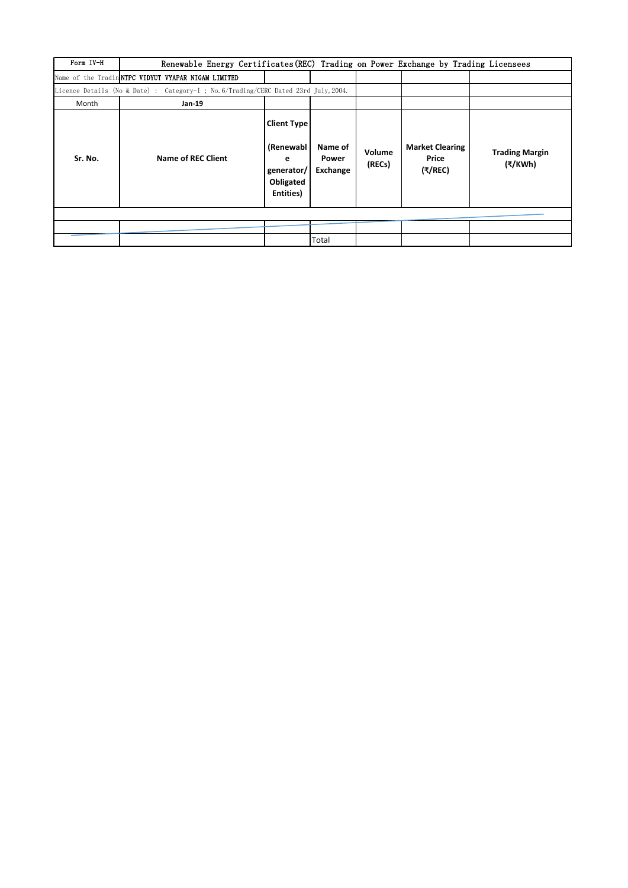| Form IV-H | Renewable Energy Certificates (REC) Trading on Power Exchange by Trading Licensees   |                                                                              |                              |                  |                                            |                                  |  |  |
|-----------|--------------------------------------------------------------------------------------|------------------------------------------------------------------------------|------------------------------|------------------|--------------------------------------------|----------------------------------|--|--|
|           | Name of the Tradin NTPC VIDYUT VYAPAR NIGAM LIMITED                                  |                                                                              |                              |                  |                                            |                                  |  |  |
|           | Licence Details (No & Date) : Category-I ; No. 6/Trading/CERC Dated 23rd July, 2004. |                                                                              |                              |                  |                                            |                                  |  |  |
| Month     | $Jan-19$                                                                             |                                                                              |                              |                  |                                            |                                  |  |  |
| Sr. No.   | Name of REC Client                                                                   | <b>Client Type</b><br>(Renewabl<br>е<br>generator/<br>Obligated<br>Entities) | Name of<br>Power<br>Exchange | Volume<br>(RECs) | <b>Market Clearing</b><br>Price<br>(₹/REC) | <b>Trading Margin</b><br>(₹/KWh) |  |  |
|           |                                                                                      |                                                                              |                              |                  |                                            |                                  |  |  |
|           |                                                                                      |                                                                              |                              |                  |                                            |                                  |  |  |
|           |                                                                                      |                                                                              | Total                        |                  |                                            |                                  |  |  |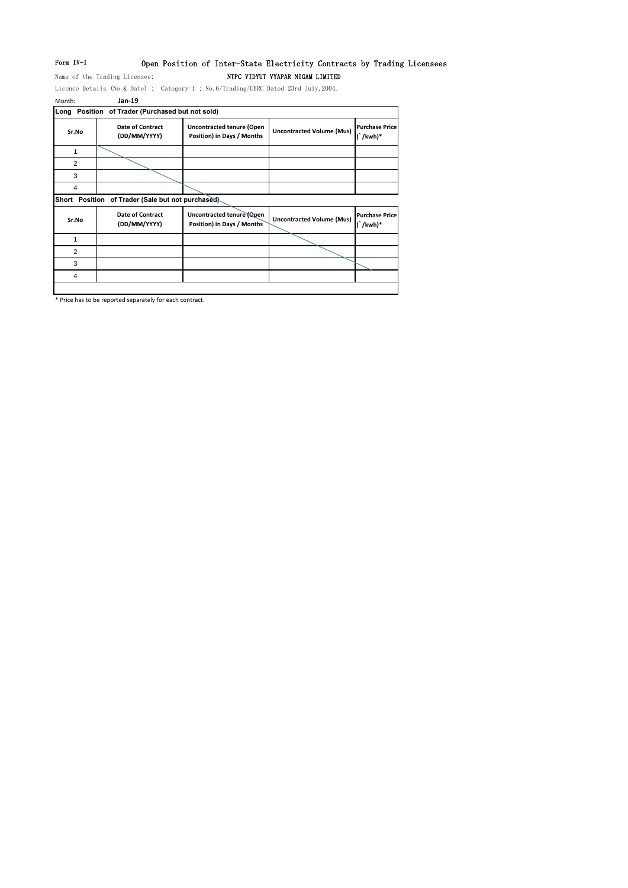# Form IV-I Open Position of Inter-State Electricity Contracts by Trading Licensees

Name of the Trading Licensee: NTPC VIDYUT VYAPAR NIGAM LIMITED

Licence Details (No & Date) : Category-I ; No.6/Trading/CERC Dated 23rd July,2004. Month: **Jan-19**

|                | Long Position of Trader (Purchased but not sold)   |                                                                |                                  |                                        |
|----------------|----------------------------------------------------|----------------------------------------------------------------|----------------------------------|----------------------------------------|
| Sr.No          | <b>Date of Contract</b><br>(DD/MM/YYYY)            | <b>Uncontracted tenure (Open</b><br>Position) in Days / Months | <b>Uncontracted Volume (Mus)</b> | <b>Purchase Price</b><br>$\int$ /kwh)* |
| 1              |                                                    |                                                                |                                  |                                        |
| $\overline{2}$ |                                                    |                                                                |                                  |                                        |
| 3              |                                                    |                                                                |                                  |                                        |
| 4              |                                                    |                                                                |                                  |                                        |
|                | Short Position of Trader (Sale but not purchased). |                                                                |                                  |                                        |
| Sr.No          | <b>Date of Contract</b><br>(DD/MM/YYYY)            | Uncontracted tenure (Open<br>Position) in Days / Months        | <b>Uncontracted Volume (Mus)</b> | <b>Purchase Price</b><br>$\int$ /kwh)* |
| 1              |                                                    |                                                                |                                  |                                        |
| $\overline{2}$ |                                                    |                                                                |                                  |                                        |
| 3              |                                                    |                                                                |                                  |                                        |
| 4              |                                                    |                                                                |                                  |                                        |
|                |                                                    |                                                                |                                  |                                        |

\* Price has to be reported separately for each contract.